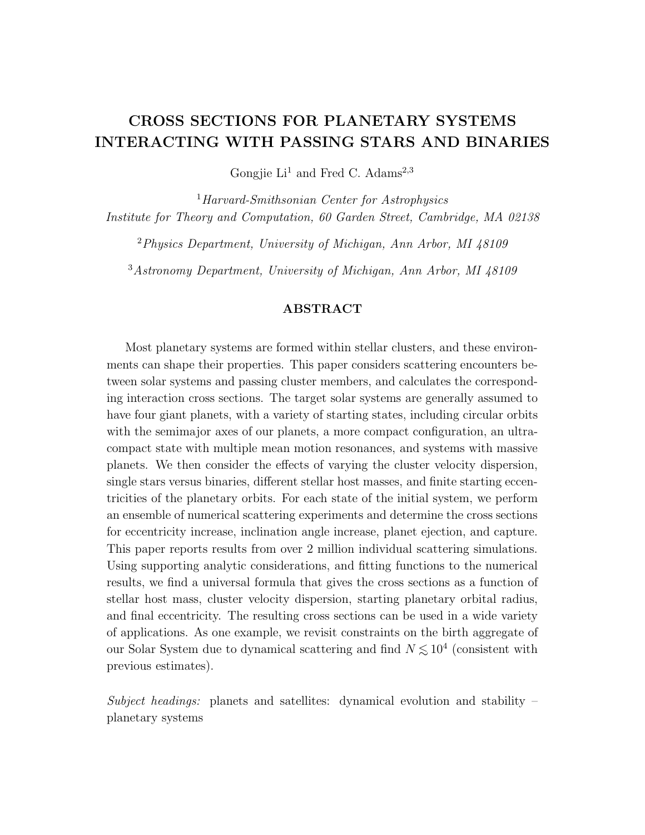# CROSS SECTIONS FOR PLANETARY SYSTEMS INTERACTING WITH PASSING STARS AND BINARIES

Gongjie Li<sup>1</sup> and Fred C. Adams<sup>2,3</sup>

<sup>1</sup>Harvard-Smithsonian Center for Astrophysics Institute for Theory and Computation, 60 Garden Street, Cambridge, MA 02138

<sup>2</sup>Physics Department, University of Michigan, Ann Arbor, MI 48109

<sup>3</sup>Astronomy Department, University of Michigan, Ann Arbor, MI 48109

## ABSTRACT

Most planetary systems are formed within stellar clusters, and these environments can shape their properties. This paper considers scattering encounters between solar systems and passing cluster members, and calculates the corresponding interaction cross sections. The target solar systems are generally assumed to have four giant planets, with a variety of starting states, including circular orbits with the semimajor axes of our planets, a more compact configuration, an ultracompact state with multiple mean motion resonances, and systems with massive planets. We then consider the effects of varying the cluster velocity dispersion, single stars versus binaries, different stellar host masses, and finite starting eccentricities of the planetary orbits. For each state of the initial system, we perform an ensemble of numerical scattering experiments and determine the cross sections for eccentricity increase, inclination angle increase, planet ejection, and capture. This paper reports results from over 2 million individual scattering simulations. Using supporting analytic considerations, and fitting functions to the numerical results, we find a universal formula that gives the cross sections as a function of stellar host mass, cluster velocity dispersion, starting planetary orbital radius, and final eccentricity. The resulting cross sections can be used in a wide variety of applications. As one example, we revisit constraints on the birth aggregate of our Solar System due to dynamical scattering and find  $N \lesssim 10^4$  (consistent with previous estimates).

Subject headings: planets and satellites: dynamical evolution and stability  $$ planetary systems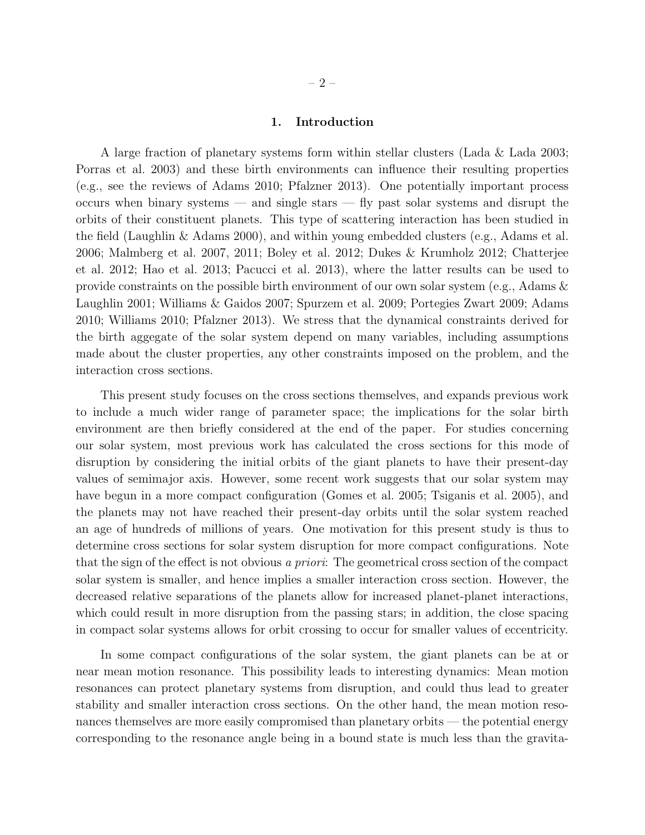## 1. Introduction

A large fraction of planetary systems form within stellar clusters (Lada & Lada 2003; Porras et al. 2003) and these birth environments can influence their resulting properties (e.g., see the reviews of Adams 2010; Pfalzner 2013). One potentially important process occurs when binary systems — and single stars — fly past solar systems and disrupt the orbits of their constituent planets. This type of scattering interaction has been studied in the field (Laughlin & Adams 2000), and within young embedded clusters (e.g., Adams et al. 2006; Malmberg et al. 2007, 2011; Boley et al. 2012; Dukes & Krumholz 2012; Chatterjee et al. 2012; Hao et al. 2013; Pacucci et al. 2013), where the latter results can be used to provide constraints on the possible birth environment of our own solar system (e.g., Adams & Laughlin 2001; Williams & Gaidos 2007; Spurzem et al. 2009; Portegies Zwart 2009; Adams 2010; Williams 2010; Pfalzner 2013). We stress that the dynamical constraints derived for the birth aggegate of the solar system depend on many variables, including assumptions made about the cluster properties, any other constraints imposed on the problem, and the interaction cross sections.

This present study focuses on the cross sections themselves, and expands previous work to include a much wider range of parameter space; the implications for the solar birth environment are then briefly considered at the end of the paper. For studies concerning our solar system, most previous work has calculated the cross sections for this mode of disruption by considering the initial orbits of the giant planets to have their present-day values of semimajor axis. However, some recent work suggests that our solar system may have begun in a more compact configuration (Gomes et al. 2005; Tsiganis et al. 2005), and the planets may not have reached their present-day orbits until the solar system reached an age of hundreds of millions of years. One motivation for this present study is thus to determine cross sections for solar system disruption for more compact configurations. Note that the sign of the effect is not obvious a priori: The geometrical cross section of the compact solar system is smaller, and hence implies a smaller interaction cross section. However, the decreased relative separations of the planets allow for increased planet-planet interactions, which could result in more disruption from the passing stars; in addition, the close spacing in compact solar systems allows for orbit crossing to occur for smaller values of eccentricity.

In some compact configurations of the solar system, the giant planets can be at or near mean motion resonance. This possibility leads to interesting dynamics: Mean motion resonances can protect planetary systems from disruption, and could thus lead to greater stability and smaller interaction cross sections. On the other hand, the mean motion resonances themselves are more easily compromised than planetary orbits — the potential energy corresponding to the resonance angle being in a bound state is much less than the gravita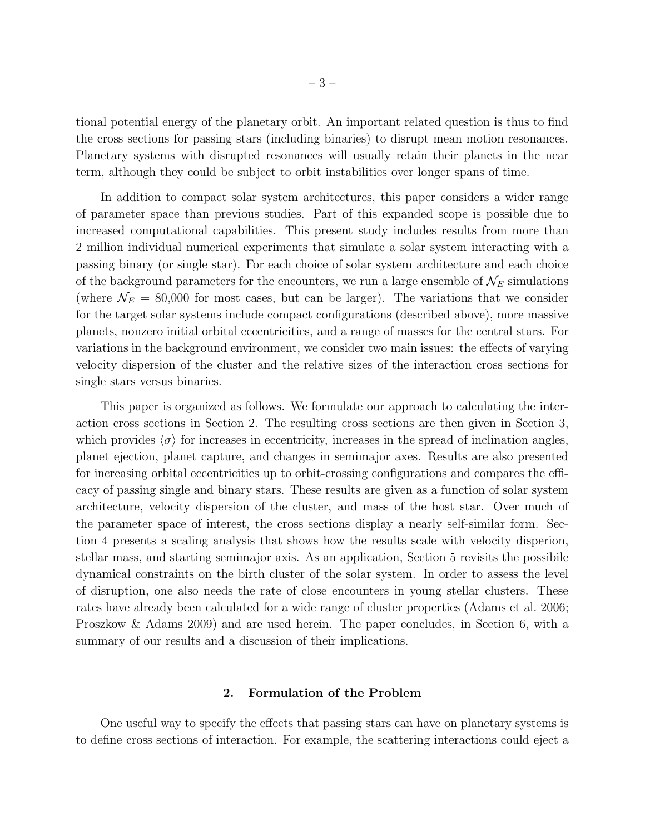tional potential energy of the planetary orbit. An important related question is thus to find the cross sections for passing stars (including binaries) to disrupt mean motion resonances. Planetary systems with disrupted resonances will usually retain their planets in the near term, although they could be subject to orbit instabilities over longer spans of time.

In addition to compact solar system architectures, this paper considers a wider range of parameter space than previous studies. Part of this expanded scope is possible due to increased computational capabilities. This present study includes results from more than 2 million individual numerical experiments that simulate a solar system interacting with a passing binary (or single star). For each choice of solar system architecture and each choice of the background parameters for the encounters, we run a large ensemble of  $\mathcal{N}_E$  simulations (where  $\mathcal{N}_E = 80,000$  for most cases, but can be larger). The variations that we consider for the target solar systems include compact configurations (described above), more massive planets, nonzero initial orbital eccentricities, and a range of masses for the central stars. For variations in the background environment, we consider two main issues: the effects of varying velocity dispersion of the cluster and the relative sizes of the interaction cross sections for single stars versus binaries.

This paper is organized as follows. We formulate our approach to calculating the interaction cross sections in Section 2. The resulting cross sections are then given in Section 3, which provides  $\langle \sigma \rangle$  for increases in eccentricity, increases in the spread of inclination angles, planet ejection, planet capture, and changes in semimajor axes. Results are also presented for increasing orbital eccentricities up to orbit-crossing configurations and compares the efficacy of passing single and binary stars. These results are given as a function of solar system architecture, velocity dispersion of the cluster, and mass of the host star. Over much of the parameter space of interest, the cross sections display a nearly self-similar form. Section 4 presents a scaling analysis that shows how the results scale with velocity disperion, stellar mass, and starting semimajor axis. As an application, Section 5 revisits the possibile dynamical constraints on the birth cluster of the solar system. In order to assess the level of disruption, one also needs the rate of close encounters in young stellar clusters. These rates have already been calculated for a wide range of cluster properties (Adams et al. 2006; Proszkow & Adams 2009) and are used herein. The paper concludes, in Section 6, with a summary of our results and a discussion of their implications.

### 2. Formulation of the Problem

One useful way to specify the effects that passing stars can have on planetary systems is to define cross sections of interaction. For example, the scattering interactions could eject a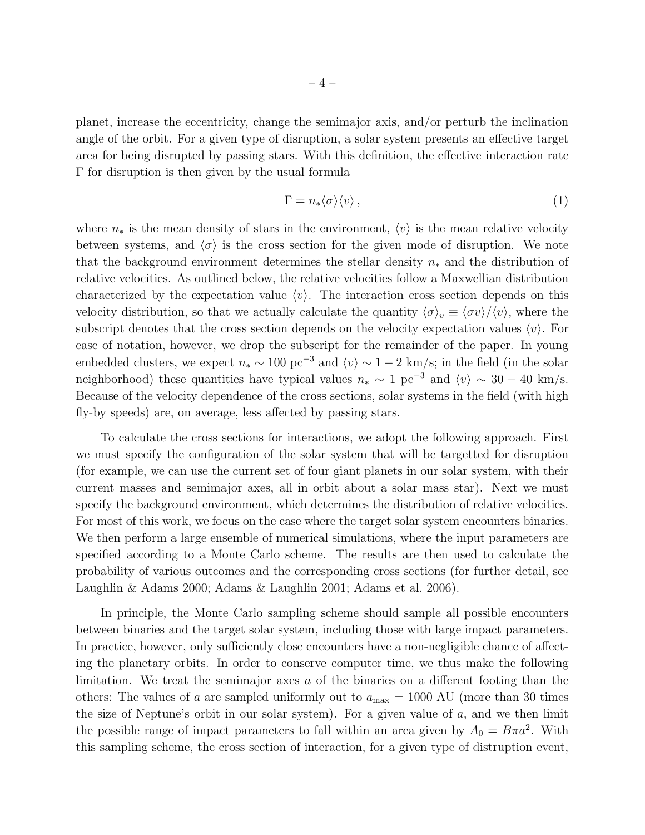planet, increase the eccentricity, change the semimajor axis, and/or perturb the inclination angle of the orbit. For a given type of disruption, a solar system presents an effective target area for being disrupted by passing stars. With this definition, the effective interaction rate Γ for disruption is then given by the usual formula

$$
\Gamma = n_* \langle \sigma \rangle \langle v \rangle \,, \tag{1}
$$

where  $n_*$  is the mean density of stars in the environment,  $\langle v \rangle$  is the mean relative velocity between systems, and  $\langle \sigma \rangle$  is the cross section for the given mode of disruption. We note that the background environment determines the stellar density  $n_*$  and the distribution of relative velocities. As outlined below, the relative velocities follow a Maxwellian distribution characterized by the expectation value  $\langle v \rangle$ . The interaction cross section depends on this velocity distribution, so that we actually calculate the quantity  $\langle \sigma \rangle_v \equiv \langle \sigma v \rangle / \langle v \rangle$ , where the subscript denotes that the cross section depends on the velocity expectation values  $\langle v \rangle$ . For ease of notation, however, we drop the subscript for the remainder of the paper. In young embedded clusters, we expect  $n_* \sim 100 \text{ pc}^{-3}$  and  $\langle v \rangle \sim 1 - 2 \text{ km/s}$ ; in the field (in the solar neighborhood) these quantities have typical values  $n_* \sim 1 \text{ pc}^{-3}$  and  $\langle v \rangle \sim 30 - 40 \text{ km/s}$ . Because of the velocity dependence of the cross sections, solar systems in the field (with high fly-by speeds) are, on average, less affected by passing stars.

To calculate the cross sections for interactions, we adopt the following approach. First we must specify the configuration of the solar system that will be targetted for disruption (for example, we can use the current set of four giant planets in our solar system, with their current masses and semimajor axes, all in orbit about a solar mass star). Next we must specify the background environment, which determines the distribution of relative velocities. For most of this work, we focus on the case where the target solar system encounters binaries. We then perform a large ensemble of numerical simulations, where the input parameters are specified according to a Monte Carlo scheme. The results are then used to calculate the probability of various outcomes and the corresponding cross sections (for further detail, see Laughlin & Adams 2000; Adams & Laughlin 2001; Adams et al. 2006).

In principle, the Monte Carlo sampling scheme should sample all possible encounters between binaries and the target solar system, including those with large impact parameters. In practice, however, only sufficiently close encounters have a non-negligible chance of affecting the planetary orbits. In order to conserve computer time, we thus make the following limitation. We treat the semimajor axes a of the binaries on a different footing than the others: The values of a are sampled uniformly out to  $a_{\text{max}} = 1000 \text{ AU}$  (more than 30 times the size of Neptune's orbit in our solar system). For a given value of  $a$ , and we then limit the possible range of impact parameters to fall within an area given by  $A_0 = B\pi a^2$ . With this sampling scheme, the cross section of interaction, for a given type of distruption event,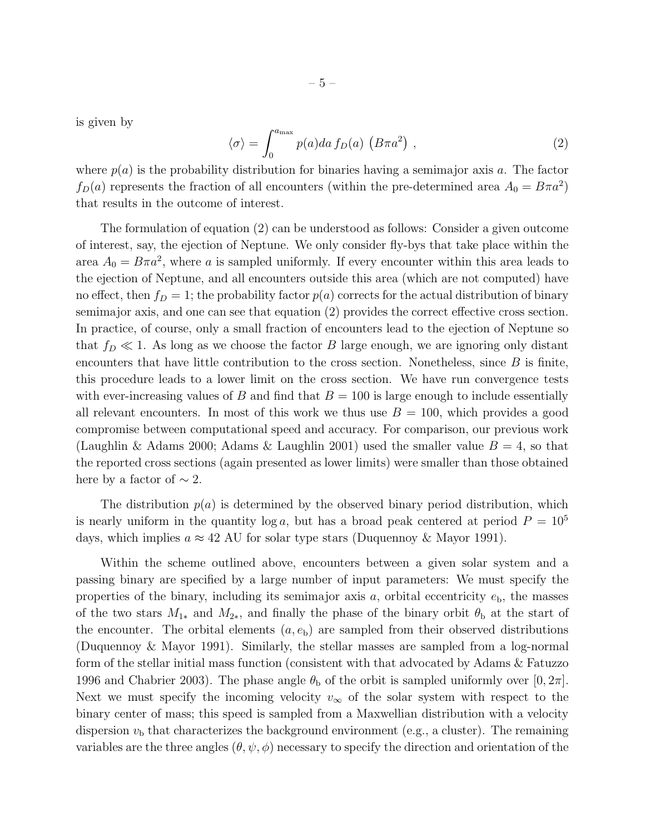is given by

$$
\langle \sigma \rangle = \int_0^{a_{\text{max}}} p(a)da f_D(a) \left( B \pi a^2 \right) , \qquad (2)
$$

where  $p(a)$  is the probability distribution for binaries having a semimajor axis a. The factor  $f_D(a)$  represents the fraction of all encounters (within the pre-determined area  $A_0 = B\pi a^2$ ) that results in the outcome of interest.

The formulation of equation (2) can be understood as follows: Consider a given outcome of interest, say, the ejection of Neptune. We only consider fly-bys that take place within the area  $A_0 = B\pi a^2$ , where a is sampled uniformly. If every encounter within this area leads to the ejection of Neptune, and all encounters outside this area (which are not computed) have no effect, then  $f_D = 1$ ; the probability factor  $p(a)$  corrects for the actual distribution of binary semimajor axis, and one can see that equation (2) provides the correct effective cross section. In practice, of course, only a small fraction of encounters lead to the ejection of Neptune so that  $f_D \ll 1$ . As long as we choose the factor B large enough, we are ignoring only distant encounters that have little contribution to the cross section. Nonetheless, since  $B$  is finite, this procedure leads to a lower limit on the cross section. We have run convergence tests with ever-increasing values of B and find that  $B = 100$  is large enough to include essentially all relevant encounters. In most of this work we thus use  $B = 100$ , which provides a good compromise between computational speed and accuracy. For comparison, our previous work (Laughlin & Adams 2000; Adams & Laughlin 2001) used the smaller value  $B = 4$ , so that the reported cross sections (again presented as lower limits) were smaller than those obtained here by a factor of  $\sim$  2.

The distribution  $p(a)$  is determined by the observed binary period distribution, which is nearly uniform in the quantity  $\log a$ , but has a broad peak centered at period  $P = 10^5$ days, which implies  $a \approx 42$  AU for solar type stars (Duquennoy & Mayor 1991).

Within the scheme outlined above, encounters between a given solar system and a passing binary are specified by a large number of input parameters: We must specify the properties of the binary, including its semimajor axis  $a$ , orbital eccentricity  $e<sub>b</sub>$ , the masses of the two stars  $M_{1*}$  and  $M_{2*}$ , and finally the phase of the binary orbit  $\theta_{\rm b}$  at the start of the encounter. The orbital elements  $(a, e_b)$  are sampled from their observed distributions (Duquennoy & Mayor 1991). Similarly, the stellar masses are sampled from a log-normal form of the stellar initial mass function (consistent with that advocated by Adams & Fatuzzo 1996 and Chabrier 2003). The phase angle  $\theta_{\rm b}$  of the orbit is sampled uniformly over [0,  $2\pi$ ]. Next we must specify the incoming velocity  $v_{\infty}$  of the solar system with respect to the binary center of mass; this speed is sampled from a Maxwellian distribution with a velocity dispersion  $v<sub>b</sub>$  that characterizes the background environment (e.g., a cluster). The remaining variables are the three angles  $(\theta, \psi, \phi)$  necessary to specify the direction and orientation of the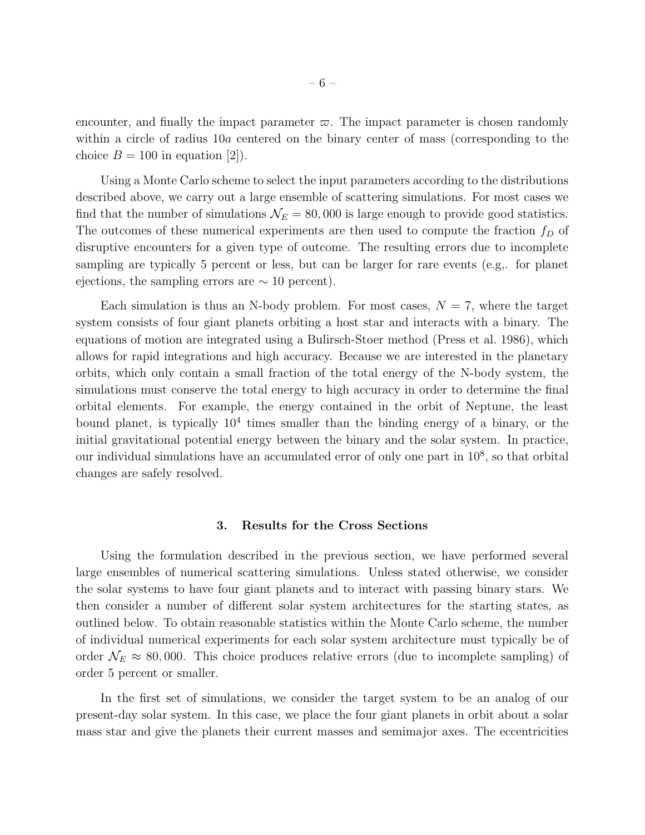encounter, and finally the impact parameter  $\varpi$ . The impact parameter is chosen randomly within a circle of radius 10a centered on the binary center of mass (corresponding to the choice  $B = 100$  in equation [2]).

Using a Monte Carlo scheme to select the input parameters according to the distributions described above, we carry out a large ensemble of scattering simulations. For most cases we find that the number of simulations  $\mathcal{N}_E = 80,000$  is large enough to provide good statistics. The outcomes of these numerical experiments are then used to compute the fraction  $f_D$  of disruptive encounters for a given type of outcome. The resulting errors due to incomplete sampling are typically 5 percent or less, but can be larger for rare events (e.g,. for planet ejections, the sampling errors are  $\sim 10$  percent).

Each simulation is thus an N-body problem. For most cases,  $N = 7$ , where the target system consists of four giant planets orbiting a host star and interacts with a binary. The equations of motion are integrated using a Bulirsch-Stoer method (Press et al. 1986), which allows for rapid integrations and high accuracy. Because we are interested in the planetary orbits, which only contain a small fraction of the total energy of the N-body system, the simulations must conserve the total energy to high accuracy in order to determine the final orbital elements. For example, the energy contained in the orbit of Neptune, the least bound planet, is typically  $10^4$  times smaller than the binding energy of a binary, or the initial gravitational potential energy between the binary and the solar system. In practice, our individual simulations have an accumulated error of only one part in  $10^8$ , so that orbital changes are safely resolved.

#### 3. Results for the Cross Sections

Using the formulation described in the previous section, we have performed several large ensembles of numerical scattering simulations. Unless stated otherwise, we consider the solar systems to have four giant planets and to interact with passing binary stars. We then consider a number of different solar system architectures for the starting states, as outlined below. To obtain reasonable statistics within the Monte Carlo scheme, the number of individual numerical experiments for each solar system architecture must typically be of order  $\mathcal{N}_E \approx 80,000$ . This choice produces relative errors (due to incomplete sampling) of order 5 percent or smaller.

In the first set of simulations, we consider the target system to be an analog of our present-day solar system. In this case, we place the four giant planets in orbit about a solar mass star and give the planets their current masses and semimajor axes. The eccentricities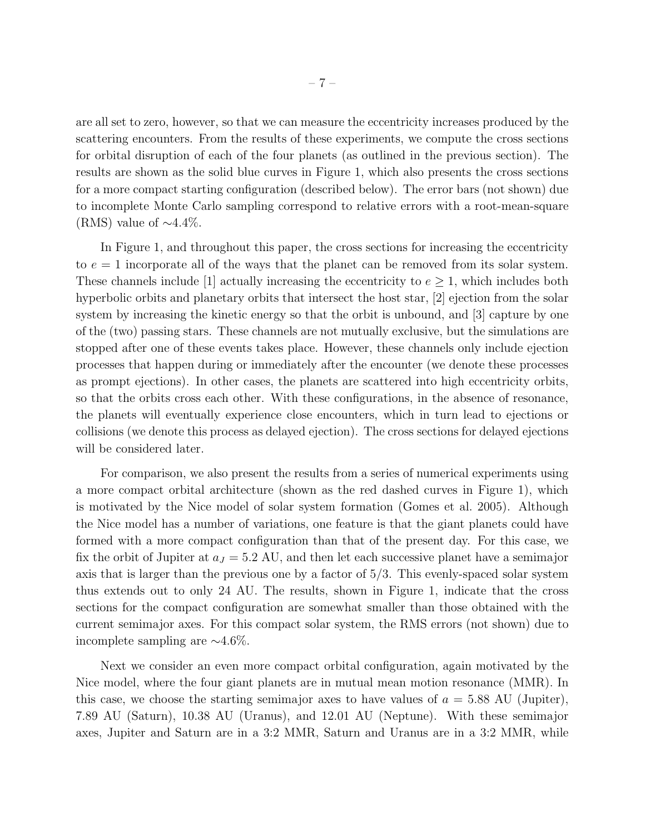are all set to zero, however, so that we can measure the eccentricity increases produced by the scattering encounters. From the results of these experiments, we compute the cross sections for orbital disruption of each of the four planets (as outlined in the previous section). The results are shown as the solid blue curves in Figure 1, which also presents the cross sections for a more compact starting configuration (described below). The error bars (not shown) due to incomplete Monte Carlo sampling correspond to relative errors with a root-mean-square (RMS) value of  $\sim$ 4.4%.

In Figure 1, and throughout this paper, the cross sections for increasing the eccentricity to  $e = 1$  incorporate all of the ways that the planet can be removed from its solar system. These channels include [1] actually increasing the eccentricity to  $e \geq 1$ , which includes both hyperbolic orbits and planetary orbits that intersect the host star, [2] ejection from the solar system by increasing the kinetic energy so that the orbit is unbound, and [3] capture by one of the (two) passing stars. These channels are not mutually exclusive, but the simulations are stopped after one of these events takes place. However, these channels only include ejection processes that happen during or immediately after the encounter (we denote these processes as prompt ejections). In other cases, the planets are scattered into high eccentricity orbits, so that the orbits cross each other. With these configurations, in the absence of resonance, the planets will eventually experience close encounters, which in turn lead to ejections or collisions (we denote this process as delayed ejection). The cross sections for delayed ejections will be considered later.

For comparison, we also present the results from a series of numerical experiments using a more compact orbital architecture (shown as the red dashed curves in Figure 1), which is motivated by the Nice model of solar system formation (Gomes et al. 2005). Although the Nice model has a number of variations, one feature is that the giant planets could have formed with a more compact configuration than that of the present day. For this case, we fix the orbit of Jupiter at  $a_J = 5.2$  AU, and then let each successive planet have a semimajor axis that is larger than the previous one by a factor of 5/3. This evenly-spaced solar system thus extends out to only 24 AU. The results, shown in Figure 1, indicate that the cross sections for the compact configuration are somewhat smaller than those obtained with the current semimajor axes. For this compact solar system, the RMS errors (not shown) due to incomplete sampling are ∼4.6%.

Next we consider an even more compact orbital configuration, again motivated by the Nice model, where the four giant planets are in mutual mean motion resonance (MMR). In this case, we choose the starting semimajor axes to have values of  $a = 5.88$  AU (Jupiter), 7.89 AU (Saturn), 10.38 AU (Uranus), and 12.01 AU (Neptune). With these semimajor axes, Jupiter and Saturn are in a 3:2 MMR, Saturn and Uranus are in a 3:2 MMR, while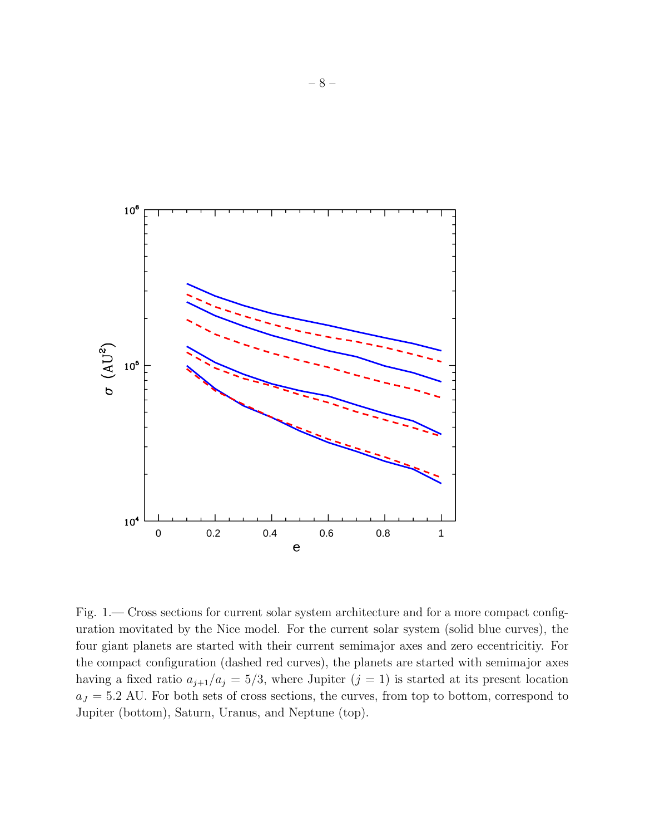

Fig. 1.— Cross sections for current solar system architecture and for a more compact configuration movitated by the Nice model. For the current solar system (solid blue curves), the four giant planets are started with their current semimajor axes and zero eccentricitiy. For the compact configuration (dashed red curves), the planets are started with semimajor axes having a fixed ratio  $a_{j+1}/a_j = 5/3$ , where Jupiter  $(j = 1)$  is started at its present location  $a_J = 5.2$  AU. For both sets of cross sections, the curves, from top to bottom, correspond to Jupiter (bottom), Saturn, Uranus, and Neptune (top).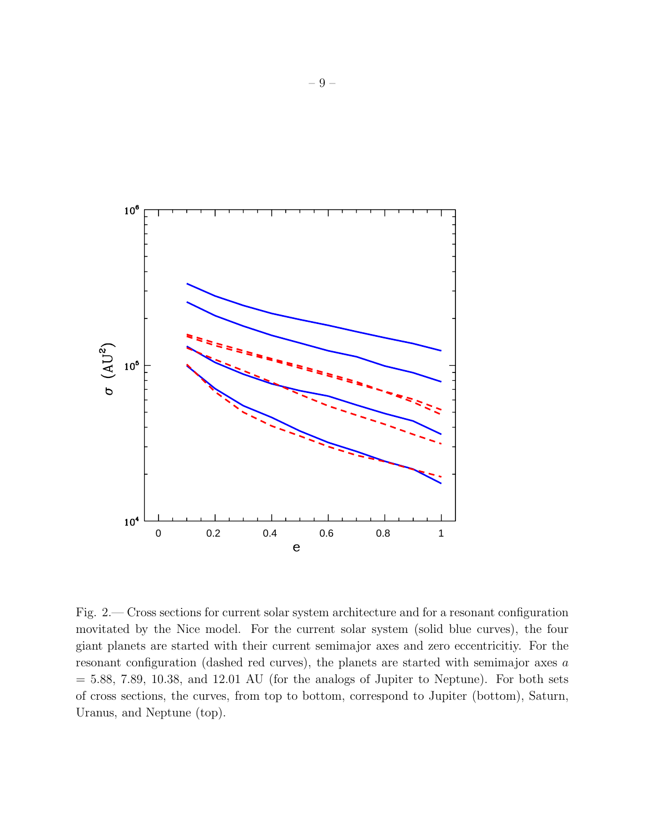

Fig. 2.— Cross sections for current solar system architecture and for a resonant configuration movitated by the Nice model. For the current solar system (solid blue curves), the four giant planets are started with their current semimajor axes and zero eccentricitiy. For the resonant configuration (dashed red curves), the planets are started with semimajor axes a  $= 5.88, 7.89, 10.38,$  and 12.01 AU (for the analogs of Jupiter to Neptune). For both sets of cross sections, the curves, from top to bottom, correspond to Jupiter (bottom), Saturn, Uranus, and Neptune (top).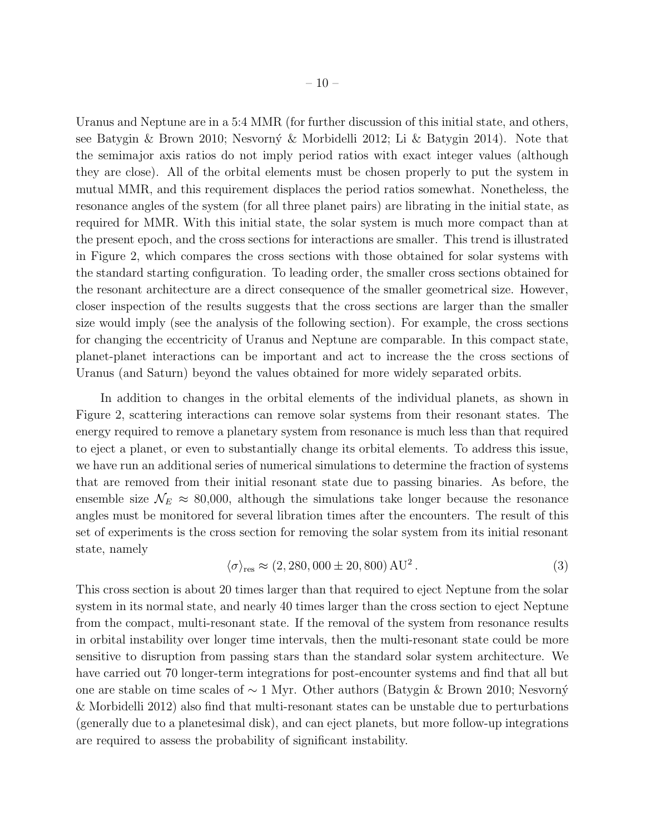Uranus and Neptune are in a 5:4 MMR (for further discussion of this initial state, and others, see Batygin & Brown 2010; Nesvorný & Morbidelli 2012; Li & Batygin 2014). Note that the semimajor axis ratios do not imply period ratios with exact integer values (although they are close). All of the orbital elements must be chosen properly to put the system in mutual MMR, and this requirement displaces the period ratios somewhat. Nonetheless, the resonance angles of the system (for all three planet pairs) are librating in the initial state, as required for MMR. With this initial state, the solar system is much more compact than at the present epoch, and the cross sections for interactions are smaller. This trend is illustrated in Figure 2, which compares the cross sections with those obtained for solar systems with the standard starting configuration. To leading order, the smaller cross sections obtained for the resonant architecture are a direct consequence of the smaller geometrical size. However, closer inspection of the results suggests that the cross sections are larger than the smaller size would imply (see the analysis of the following section). For example, the cross sections for changing the eccentricity of Uranus and Neptune are comparable. In this compact state, planet-planet interactions can be important and act to increase the the cross sections of Uranus (and Saturn) beyond the values obtained for more widely separated orbits.

In addition to changes in the orbital elements of the individual planets, as shown in Figure 2, scattering interactions can remove solar systems from their resonant states. The energy required to remove a planetary system from resonance is much less than that required to eject a planet, or even to substantially change its orbital elements. To address this issue, we have run an additional series of numerical simulations to determine the fraction of systems that are removed from their initial resonant state due to passing binaries. As before, the ensemble size  $\mathcal{N}_E \approx 80,000$ , although the simulations take longer because the resonance angles must be monitored for several libration times after the encounters. The result of this set of experiments is the cross section for removing the solar system from its initial resonant state, namely

$$
\langle \sigma \rangle_{\text{res}} \approx (2, 280, 000 \pm 20, 800) \,\text{AU}^2 \,. \tag{3}
$$

This cross section is about 20 times larger than that required to eject Neptune from the solar system in its normal state, and nearly 40 times larger than the cross section to eject Neptune from the compact, multi-resonant state. If the removal of the system from resonance results in orbital instability over longer time intervals, then the multi-resonant state could be more sensitive to disruption from passing stars than the standard solar system architecture. We have carried out 70 longer-term integrations for post-encounter systems and find that all but one are stable on time scales of ∼ 1 Myr. Other authors (Batygin & Brown 2010; Nesvorný & Morbidelli 2012) also find that multi-resonant states can be unstable due to perturbations (generally due to a planetesimal disk), and can eject planets, but more follow-up integrations are required to assess the probability of significant instability.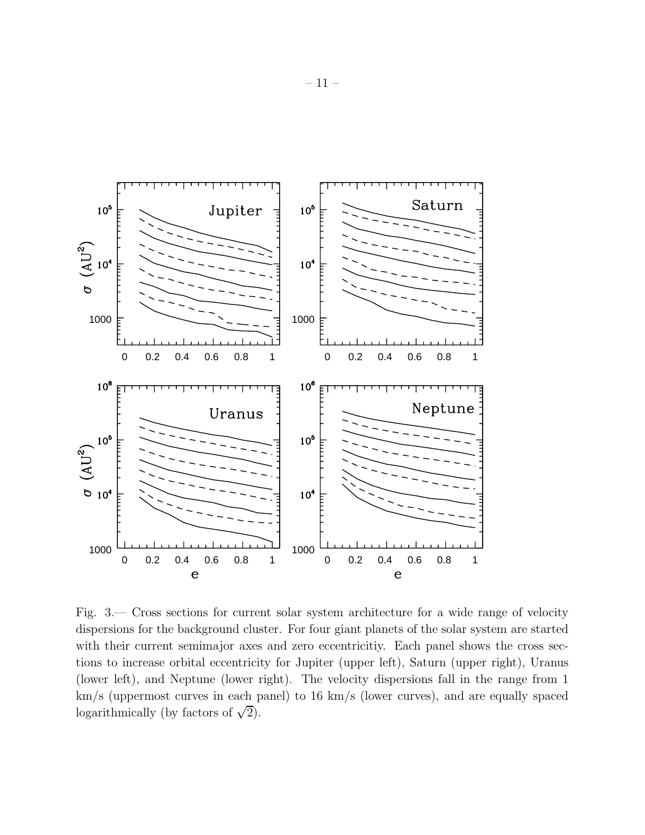

Fig. 3.— Cross sections for current solar system architecture for a wide range of velocity dispersions for the background cluster. For four giant planets of the solar system are started with their current semimajor axes and zero eccentricitiy. Each panel shows the cross sections to increase orbital eccentricity for Jupiter (upper left), Saturn (upper right), Uranus (lower left), and Neptune (lower right). The velocity dispersions fall in the range from 1 km/s (uppermost curves in each panel) to 16 km/s (lower curves), and are equally spaced logarithmically (by factors of  $\sqrt{2}$ ).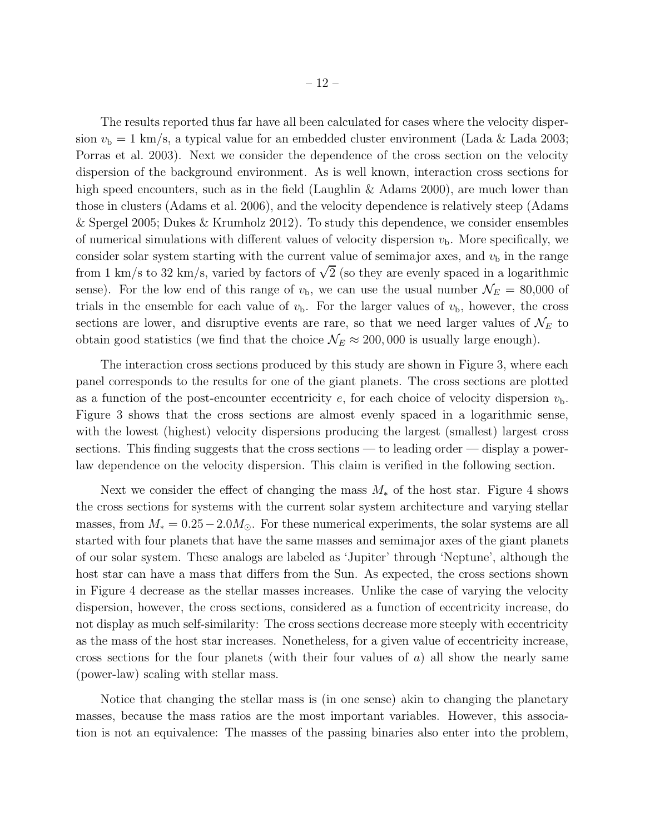The results reported thus far have all been calculated for cases where the velocity dispersion  $v<sub>b</sub> = 1$  km/s, a typical value for an embedded cluster environment (Lada & Lada 2003; Porras et al. 2003). Next we consider the dependence of the cross section on the velocity dispersion of the background environment. As is well known, interaction cross sections for high speed encounters, such as in the field (Laughlin & Adams 2000), are much lower than those in clusters (Adams et al. 2006), and the velocity dependence is relatively steep (Adams & Spergel 2005; Dukes & Krumholz 2012). To study this dependence, we consider ensembles of numerical simulations with different values of velocity dispersion  $v<sub>b</sub>$ . More specifically, we consider solar system starting with the current value of semimajor axes, and  $v<sub>b</sub>$  in the range from 1 km/s to 32 km/s, varied by factors of  $\sqrt{2}$  (so they are evenly spaced in a logarithmic sense). For the low end of this range of  $v<sub>b</sub>$ , we can use the usual number  $\mathcal{N}_E = 80,000$  of trials in the ensemble for each value of  $v<sub>b</sub>$ . For the larger values of  $v<sub>b</sub>$ , however, the cross sections are lower, and disruptive events are rare, so that we need larger values of  $\mathcal{N}_E$  to obtain good statistics (we find that the choice  $\mathcal{N}_E \approx 200,000$  is usually large enough).

The interaction cross sections produced by this study are shown in Figure 3, where each panel corresponds to the results for one of the giant planets. The cross sections are plotted as a function of the post-encounter eccentricity  $e$ , for each choice of velocity dispersion  $v<sub>b</sub>$ . Figure 3 shows that the cross sections are almost evenly spaced in a logarithmic sense, with the lowest (highest) velocity dispersions producing the largest (smallest) largest cross sections. This finding suggests that the cross sections — to leading order — display a powerlaw dependence on the velocity dispersion. This claim is verified in the following section.

Next we consider the effect of changing the mass  $M_*$  of the host star. Figure 4 shows the cross sections for systems with the current solar system architecture and varying stellar masses, from  $M_* = 0.25 - 2.0 M_{\odot}$ . For these numerical experiments, the solar systems are all started with four planets that have the same masses and semimajor axes of the giant planets of our solar system. These analogs are labeled as 'Jupiter' through 'Neptune', although the host star can have a mass that differs from the Sun. As expected, the cross sections shown in Figure 4 decrease as the stellar masses increases. Unlike the case of varying the velocity dispersion, however, the cross sections, considered as a function of eccentricity increase, do not display as much self-similarity: The cross sections decrease more steeply with eccentricity as the mass of the host star increases. Nonetheless, for a given value of eccentricity increase, cross sections for the four planets (with their four values of  $a$ ) all show the nearly same (power-law) scaling with stellar mass.

Notice that changing the stellar mass is (in one sense) akin to changing the planetary masses, because the mass ratios are the most important variables. However, this association is not an equivalence: The masses of the passing binaries also enter into the problem,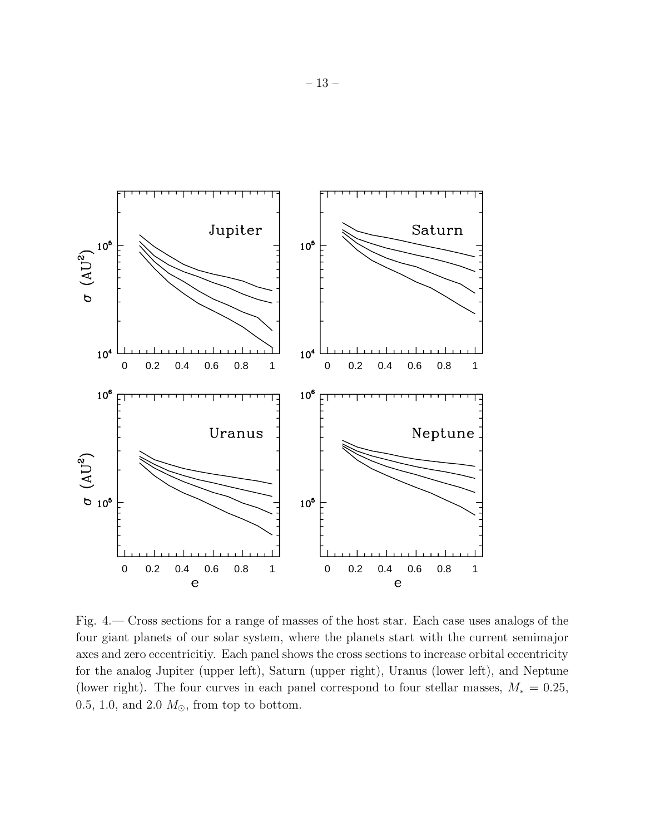

Fig. 4.— Cross sections for a range of masses of the host star. Each case uses analogs of the four giant planets of our solar system, where the planets start with the current semimajor axes and zero eccentricitiy. Each panel shows the cross sections to increase orbital eccentricity for the analog Jupiter (upper left), Saturn (upper right), Uranus (lower left), and Neptune (lower right). The four curves in each panel correspond to four stellar masses,  $M_* = 0.25$ , 0.5, 1.0, and 2.0  $M_{\odot}$ , from top to bottom.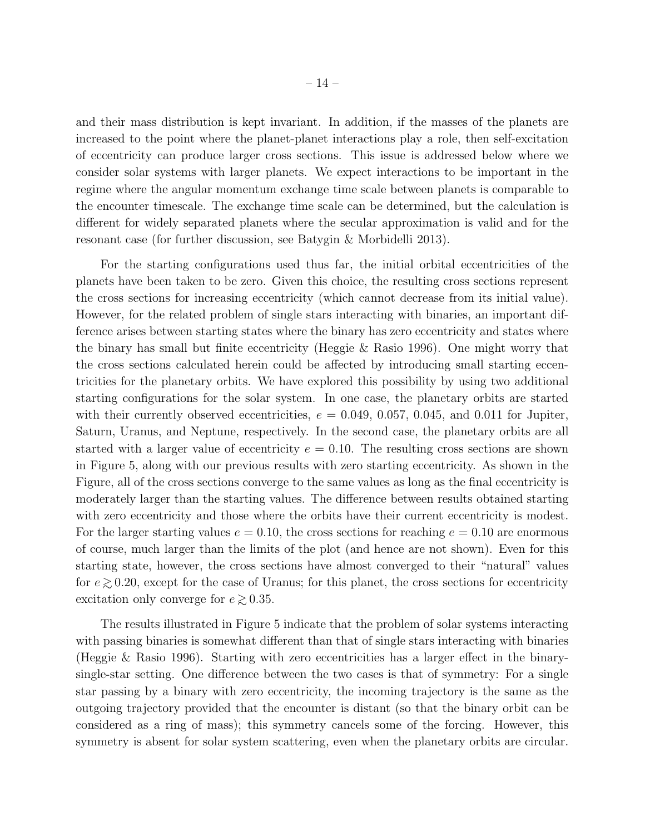and their mass distribution is kept invariant. In addition, if the masses of the planets are increased to the point where the planet-planet interactions play a role, then self-excitation of eccentricity can produce larger cross sections. This issue is addressed below where we consider solar systems with larger planets. We expect interactions to be important in the regime where the angular momentum exchange time scale between planets is comparable to the encounter timescale. The exchange time scale can be determined, but the calculation is different for widely separated planets where the secular approximation is valid and for the resonant case (for further discussion, see Batygin & Morbidelli 2013).

For the starting configurations used thus far, the initial orbital eccentricities of the planets have been taken to be zero. Given this choice, the resulting cross sections represent the cross sections for increasing eccentricity (which cannot decrease from its initial value). However, for the related problem of single stars interacting with binaries, an important difference arises between starting states where the binary has zero eccentricity and states where the binary has small but finite eccentricity (Heggie & Rasio 1996). One might worry that the cross sections calculated herein could be affected by introducing small starting eccentricities for the planetary orbits. We have explored this possibility by using two additional starting configurations for the solar system. In one case, the planetary orbits are started with their currently observed eccentricities,  $e = 0.049, 0.057, 0.045,$  and 0.011 for Jupiter, Saturn, Uranus, and Neptune, respectively. In the second case, the planetary orbits are all started with a larger value of eccentricity  $e = 0.10$ . The resulting cross sections are shown in Figure 5, along with our previous results with zero starting eccentricity. As shown in the Figure, all of the cross sections converge to the same values as long as the final eccentricity is moderately larger than the starting values. The difference between results obtained starting with zero eccentricity and those where the orbits have their current eccentricity is modest. For the larger starting values  $e = 0.10$ , the cross sections for reaching  $e = 0.10$  are enormous of course, much larger than the limits of the plot (and hence are not shown). Even for this starting state, however, the cross sections have almost converged to their "natural" values for  $e \gtrsim 0.20$ , except for the case of Uranus; for this planet, the cross sections for eccentricity excitation only converge for  $e \gtrsim 0.35$ .

The results illustrated in Figure 5 indicate that the problem of solar systems interacting with passing binaries is somewhat different than that of single stars interacting with binaries (Heggie & Rasio 1996). Starting with zero eccentricities has a larger effect in the binarysingle-star setting. One difference between the two cases is that of symmetry: For a single star passing by a binary with zero eccentricity, the incoming trajectory is the same as the outgoing trajectory provided that the encounter is distant (so that the binary orbit can be considered as a ring of mass); this symmetry cancels some of the forcing. However, this symmetry is absent for solar system scattering, even when the planetary orbits are circular.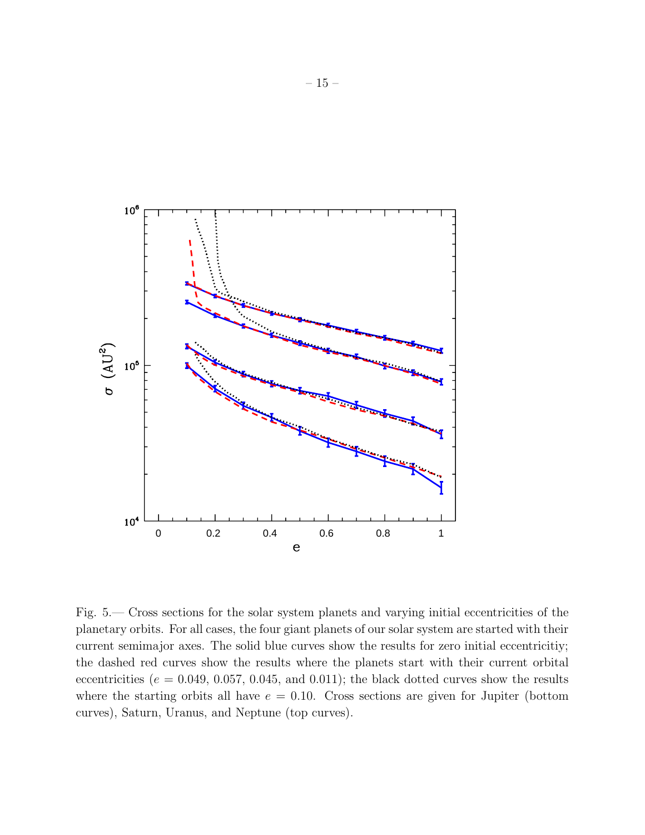

Fig. 5.— Cross sections for the solar system planets and varying initial eccentricities of the planetary orbits. For all cases, the four giant planets of our solar system are started with their current semimajor axes. The solid blue curves show the results for zero initial eccentricitiy; the dashed red curves show the results where the planets start with their current orbital eccentricities ( $e = 0.049, 0.057, 0.045,$  and  $(0.011)$ ; the black dotted curves show the results where the starting orbits all have  $e = 0.10$ . Cross sections are given for Jupiter (bottom curves), Saturn, Uranus, and Neptune (top curves).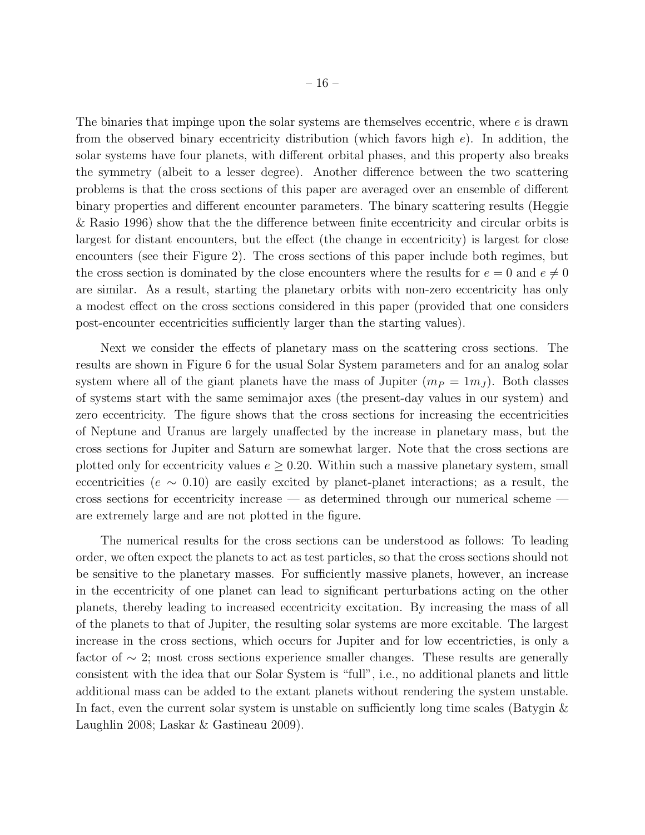The binaries that impinge upon the solar systems are themselves eccentric, where  $e$  is drawn from the observed binary eccentricity distribution (which favors high  $e$ ). In addition, the solar systems have four planets, with different orbital phases, and this property also breaks the symmetry (albeit to a lesser degree). Another difference between the two scattering problems is that the cross sections of this paper are averaged over an ensemble of different binary properties and different encounter parameters. The binary scattering results (Heggie & Rasio 1996) show that the the difference between finite eccentricity and circular orbits is largest for distant encounters, but the effect (the change in eccentricity) is largest for close encounters (see their Figure 2). The cross sections of this paper include both regimes, but the cross section is dominated by the close encounters where the results for  $e = 0$  and  $e \neq 0$ are similar. As a result, starting the planetary orbits with non-zero eccentricity has only a modest effect on the cross sections considered in this paper (provided that one considers post-encounter eccentricities sufficiently larger than the starting values).

Next we consider the effects of planetary mass on the scattering cross sections. The results are shown in Figure 6 for the usual Solar System parameters and for an analog solar system where all of the giant planets have the mass of Jupiter  $(m_P = 1m_J)$ . Both classes of systems start with the same semimajor axes (the present-day values in our system) and zero eccentricity. The figure shows that the cross sections for increasing the eccentricities of Neptune and Uranus are largely unaffected by the increase in planetary mass, but the cross sections for Jupiter and Saturn are somewhat larger. Note that the cross sections are plotted only for eccentricity values  $e \geq 0.20$ . Within such a massive planetary system, small eccentricities ( $e \sim 0.10$ ) are easily excited by planet-planet interactions; as a result, the cross sections for eccentricity increase — as determined through our numerical scheme are extremely large and are not plotted in the figure.

The numerical results for the cross sections can be understood as follows: To leading order, we often expect the planets to act as test particles, so that the cross sections should not be sensitive to the planetary masses. For sufficiently massive planets, however, an increase in the eccentricity of one planet can lead to significant perturbations acting on the other planets, thereby leading to increased eccentricity excitation. By increasing the mass of all of the planets to that of Jupiter, the resulting solar systems are more excitable. The largest increase in the cross sections, which occurs for Jupiter and for low eccentricties, is only a factor of  $\sim$  2; most cross sections experience smaller changes. These results are generally consistent with the idea that our Solar System is "full", i.e., no additional planets and little additional mass can be added to the extant planets without rendering the system unstable. In fact, even the current solar system is unstable on sufficiently long time scales (Batygin  $\&$ Laughlin 2008; Laskar & Gastineau 2009).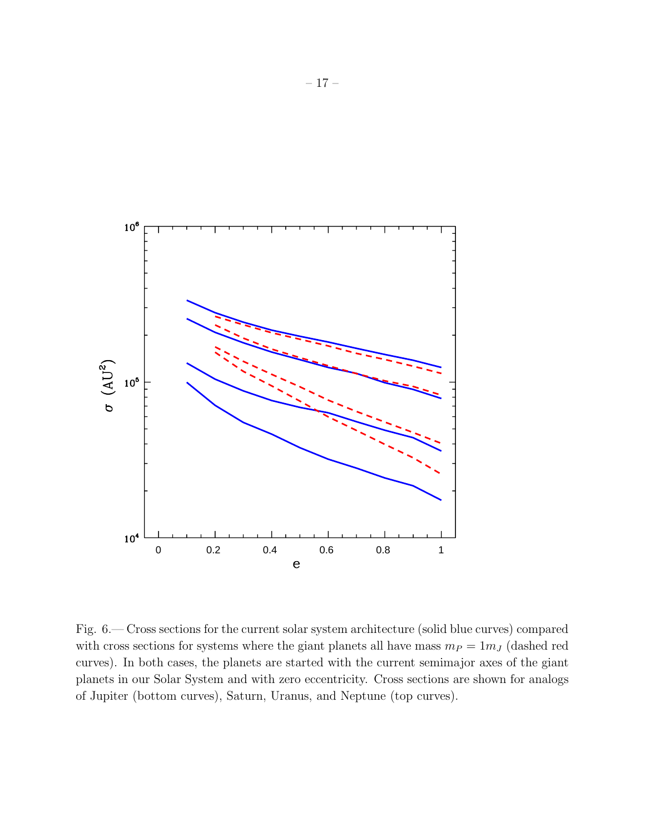

Fig. 6.— Cross sections for the current solar system architecture (solid blue curves) compared with cross sections for systems where the giant planets all have mass  $m_P = 1m_J$  (dashed red curves). In both cases, the planets are started with the current semimajor axes of the giant planets in our Solar System and with zero eccentricity. Cross sections are shown for analogs of Jupiter (bottom curves), Saturn, Uranus, and Neptune (top curves).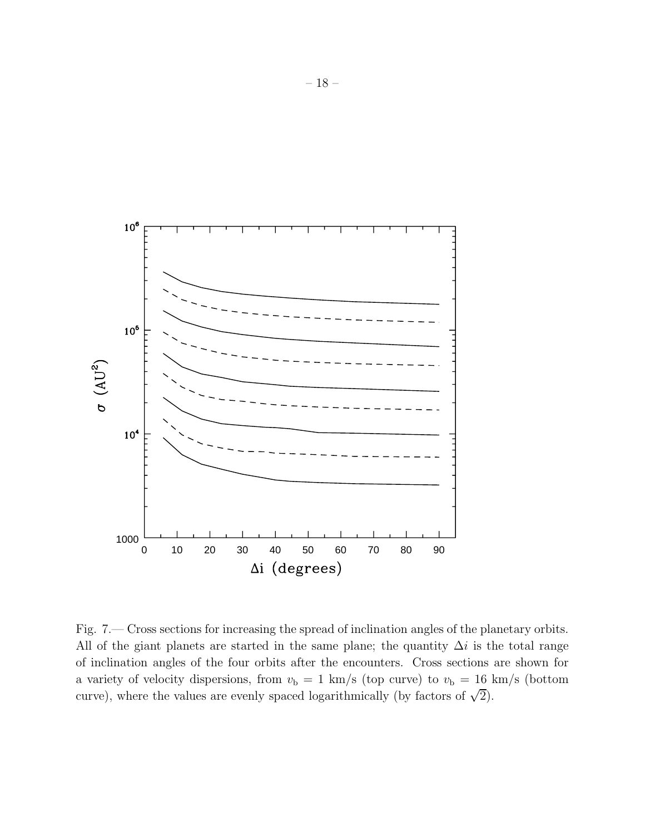

Fig. 7.— Cross sections for increasing the spread of inclination angles of the planetary orbits. All of the giant planets are started in the same plane; the quantity  $\Delta i$  is the total range of inclination angles of the four orbits after the encounters. Cross sections are shown for a variety of velocity dispersions, from  $v<sub>b</sub> = 1$  km/s (top curve) to  $v<sub>b</sub> = 16$  km/s (bottom curve), where the values are evenly spaced logarithmically (by factors of  $\sqrt{2}$ ).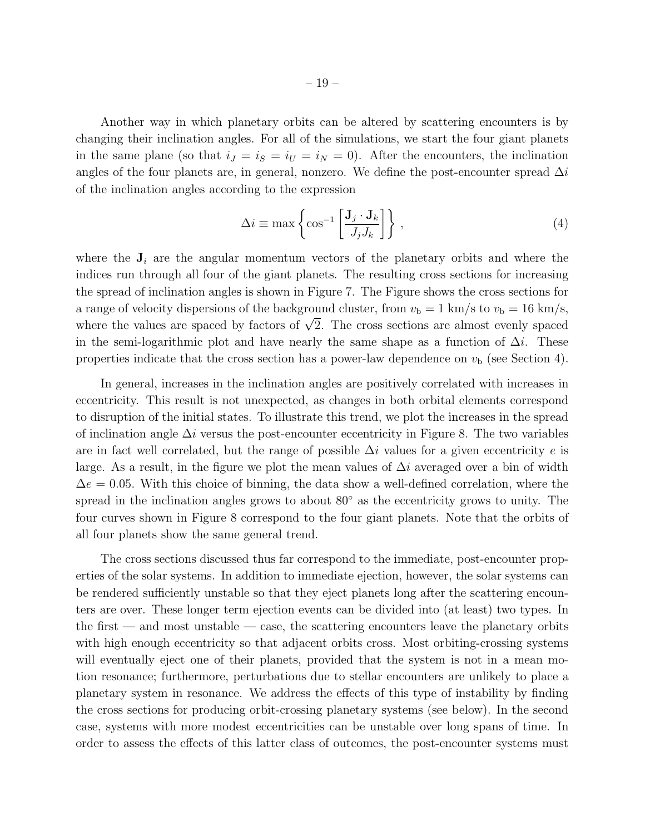Another way in which planetary orbits can be altered by scattering encounters is by changing their inclination angles. For all of the simulations, we start the four giant planets in the same plane (so that  $i_J = i_S = i_U = i_N = 0$ ). After the encounters, the inclination angles of the four planets are, in general, nonzero. We define the post-encounter spread  $\Delta i$ of the inclination angles according to the expression

$$
\Delta i \equiv \max \left\{ \cos^{-1} \left[ \frac{\mathbf{J}_j \cdot \mathbf{J}_k}{J_j J_k} \right] \right\},\tag{4}
$$

where the  $J_i$  are the angular momentum vectors of the planetary orbits and where the indices run through all four of the giant planets. The resulting cross sections for increasing the spread of inclination angles is shown in Figure 7. The Figure shows the cross sections for a range of velocity dispersions of the background cluster, from  $v<sub>b</sub> = 1$  km/s to  $v<sub>b</sub> = 16$  km/s, where the values are spaced by factors of  $\sqrt{2}$ . The cross sections are almost evenly spaced in the semi-logarithmic plot and have nearly the same shape as a function of  $\Delta i$ . These properties indicate that the cross section has a power-law dependence on  $v<sub>b</sub>$  (see Section 4).

In general, increases in the inclination angles are positively correlated with increases in eccentricity. This result is not unexpected, as changes in both orbital elements correspond to disruption of the initial states. To illustrate this trend, we plot the increases in the spread of inclination angle  $\Delta i$  versus the post-encounter eccentricity in Figure 8. The two variables are in fact well correlated, but the range of possible  $\Delta i$  values for a given eccentricity e is large. As a result, in the figure we plot the mean values of  $\Delta i$  averaged over a bin of width  $\Delta e = 0.05$ . With this choice of binning, the data show a well-defined correlation, where the spread in the inclination angles grows to about 80° as the eccentricity grows to unity. The four curves shown in Figure 8 correspond to the four giant planets. Note that the orbits of all four planets show the same general trend.

The cross sections discussed thus far correspond to the immediate, post-encounter properties of the solar systems. In addition to immediate ejection, however, the solar systems can be rendered sufficiently unstable so that they eject planets long after the scattering encounters are over. These longer term ejection events can be divided into (at least) two types. In the first — and most unstable — case, the scattering encounters leave the planetary orbits with high enough eccentricity so that adjacent orbits cross. Most orbiting-crossing systems will eventually eject one of their planets, provided that the system is not in a mean motion resonance; furthermore, perturbations due to stellar encounters are unlikely to place a planetary system in resonance. We address the effects of this type of instability by finding the cross sections for producing orbit-crossing planetary systems (see below). In the second case, systems with more modest eccentricities can be unstable over long spans of time. In order to assess the effects of this latter class of outcomes, the post-encounter systems must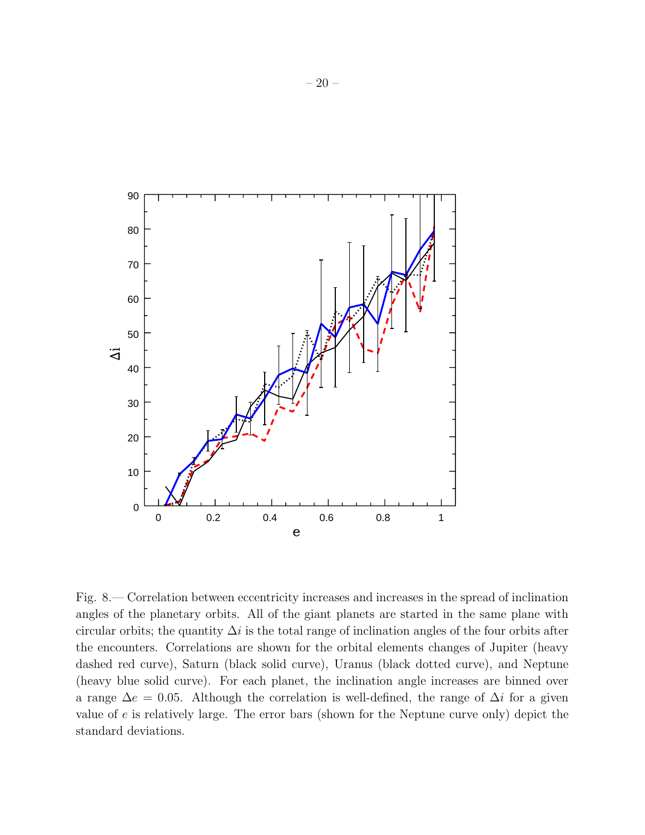

Fig. 8.— Correlation between eccentricity increases and increases in the spread of inclination angles of the planetary orbits. All of the giant planets are started in the same plane with circular orbits; the quantity  $\Delta i$  is the total range of inclination angles of the four orbits after the encounters. Correlations are shown for the orbital elements changes of Jupiter (heavy dashed red curve), Saturn (black solid curve), Uranus (black dotted curve), and Neptune (heavy blue solid curve). For each planet, the inclination angle increases are binned over a range  $\Delta e = 0.05$ . Although the correlation is well-defined, the range of  $\Delta i$  for a given value of e is relatively large. The error bars (shown for the Neptune curve only) depict the standard deviations.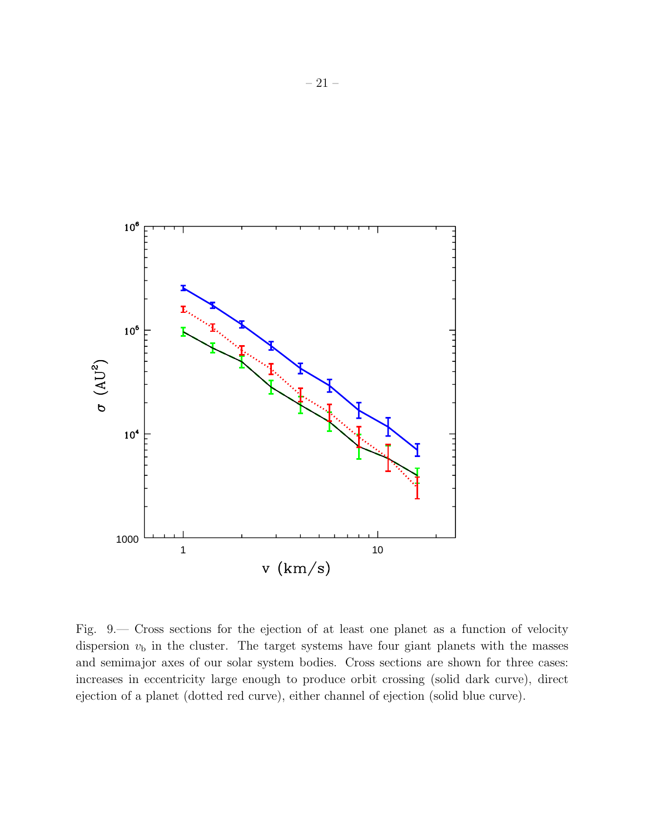

Fig. 9.— Cross sections for the ejection of at least one planet as a function of velocity dispersion  $v<sub>b</sub>$  in the cluster. The target systems have four giant planets with the masses and semimajor axes of our solar system bodies. Cross sections are shown for three cases: increases in eccentricity large enough to produce orbit crossing (solid dark curve), direct ejection of a planet (dotted red curve), either channel of ejection (solid blue curve).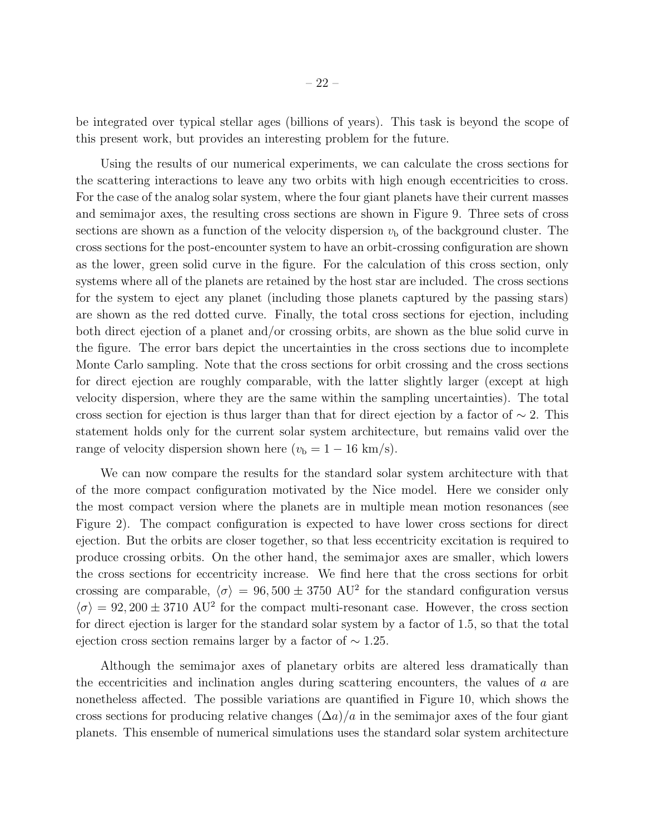be integrated over typical stellar ages (billions of years). This task is beyond the scope of this present work, but provides an interesting problem for the future.

Using the results of our numerical experiments, we can calculate the cross sections for the scattering interactions to leave any two orbits with high enough eccentricities to cross. For the case of the analog solar system, where the four giant planets have their current masses and semimajor axes, the resulting cross sections are shown in Figure 9. Three sets of cross sections are shown as a function of the velocity dispersion  $v<sub>b</sub>$  of the background cluster. The cross sections for the post-encounter system to have an orbit-crossing configuration are shown as the lower, green solid curve in the figure. For the calculation of this cross section, only systems where all of the planets are retained by the host star are included. The cross sections for the system to eject any planet (including those planets captured by the passing stars) are shown as the red dotted curve. Finally, the total cross sections for ejection, including both direct ejection of a planet and/or crossing orbits, are shown as the blue solid curve in the figure. The error bars depict the uncertainties in the cross sections due to incomplete Monte Carlo sampling. Note that the cross sections for orbit crossing and the cross sections for direct ejection are roughly comparable, with the latter slightly larger (except at high velocity dispersion, where they are the same within the sampling uncertainties). The total cross section for ejection is thus larger than that for direct ejection by a factor of  $\sim$  2. This statement holds only for the current solar system architecture, but remains valid over the range of velocity dispersion shown here  $(v_b = 1 - 16 \text{ km/s}).$ 

We can now compare the results for the standard solar system architecture with that of the more compact configuration motivated by the Nice model. Here we consider only the most compact version where the planets are in multiple mean motion resonances (see Figure 2). The compact configuration is expected to have lower cross sections for direct ejection. But the orbits are closer together, so that less eccentricity excitation is required to produce crossing orbits. On the other hand, the semimajor axes are smaller, which lowers the cross sections for eccentricity increase. We find here that the cross sections for orbit crossing are comparable,  $\langle \sigma \rangle = 96, 500 \pm 3750 \text{ AU}^2$  for the standard configuration versus  $\langle \sigma \rangle = 92,200 \pm 3710 \text{ AU}^2$  for the compact multi-resonant case. However, the cross section for direct ejection is larger for the standard solar system by a factor of 1.5, so that the total ejection cross section remains larger by a factor of  $\sim$  1.25.

Although the semimajor axes of planetary orbits are altered less dramatically than the eccentricities and inclination angles during scattering encounters, the values of a are nonetheless affected. The possible variations are quantified in Figure 10, which shows the cross sections for producing relative changes  $(\Delta a)/a$  in the semimajor axes of the four giant planets. This ensemble of numerical simulations uses the standard solar system architecture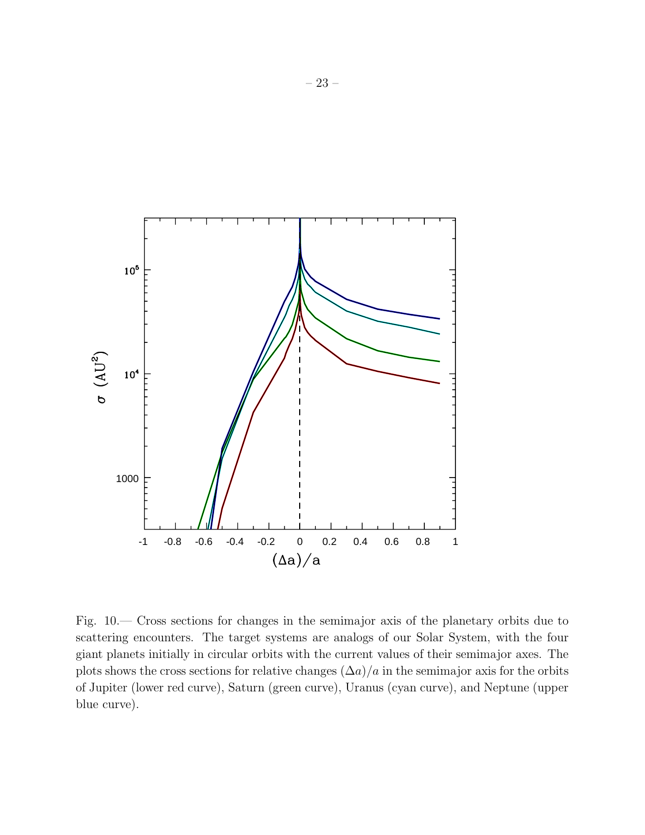

Fig. 10.— Cross sections for changes in the semimajor axis of the planetary orbits due to scattering encounters. The target systems are analogs of our Solar System, with the four giant planets initially in circular orbits with the current values of their semimajor axes. The plots shows the cross sections for relative changes  $(\Delta a)/a$  in the semimajor axis for the orbits of Jupiter (lower red curve), Saturn (green curve), Uranus (cyan curve), and Neptune (upper blue curve).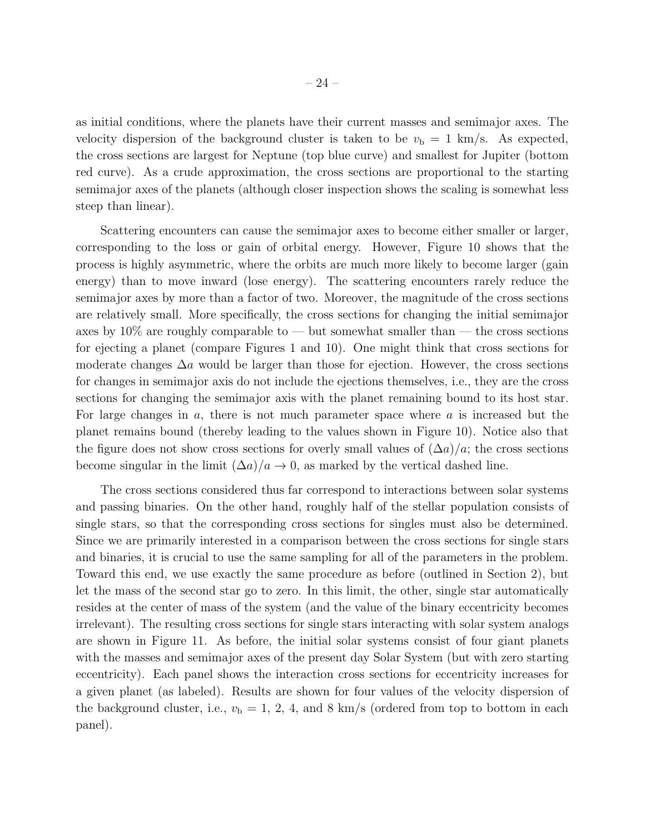as initial conditions, where the planets have their current masses and semimajor axes. The velocity dispersion of the background cluster is taken to be  $v<sub>b</sub> = 1$  km/s. As expected, the cross sections are largest for Neptune (top blue curve) and smallest for Jupiter (bottom red curve). As a crude approximation, the cross sections are proportional to the starting semimajor axes of the planets (although closer inspection shows the scaling is somewhat less steep than linear).

Scattering encounters can cause the semimajor axes to become either smaller or larger, corresponding to the loss or gain of orbital energy. However, Figure 10 shows that the process is highly asymmetric, where the orbits are much more likely to become larger (gain energy) than to move inward (lose energy). The scattering encounters rarely reduce the semimajor axes by more than a factor of two. Moreover, the magnitude of the cross sections are relatively small. More specifically, the cross sections for changing the initial semimajor axes by  $10\%$  are roughly comparable to — but somewhat smaller than — the cross sections for ejecting a planet (compare Figures 1 and 10). One might think that cross sections for moderate changes  $\Delta a$  would be larger than those for ejection. However, the cross sections for changes in semimajor axis do not include the ejections themselves, i.e., they are the cross sections for changing the semimajor axis with the planet remaining bound to its host star. For large changes in  $a$ , there is not much parameter space where  $a$  is increased but the planet remains bound (thereby leading to the values shown in Figure 10). Notice also that the figure does not show cross sections for overly small values of  $(\Delta a)/a$ ; the cross sections become singular in the limit  $(\Delta a)/a \to 0$ , as marked by the vertical dashed line.

The cross sections considered thus far correspond to interactions between solar systems and passing binaries. On the other hand, roughly half of the stellar population consists of single stars, so that the corresponding cross sections for singles must also be determined. Since we are primarily interested in a comparison between the cross sections for single stars and binaries, it is crucial to use the same sampling for all of the parameters in the problem. Toward this end, we use exactly the same procedure as before (outlined in Section 2), but let the mass of the second star go to zero. In this limit, the other, single star automatically resides at the center of mass of the system (and the value of the binary eccentricity becomes irrelevant). The resulting cross sections for single stars interacting with solar system analogs are shown in Figure 11. As before, the initial solar systems consist of four giant planets with the masses and semimajor axes of the present day Solar System (but with zero starting eccentricity). Each panel shows the interaction cross sections for eccentricity increases for a given planet (as labeled). Results are shown for four values of the velocity dispersion of the background cluster, i.e.,  $v_{\rm b} = 1, 2, 4$ , and 8 km/s (ordered from top to bottom in each panel).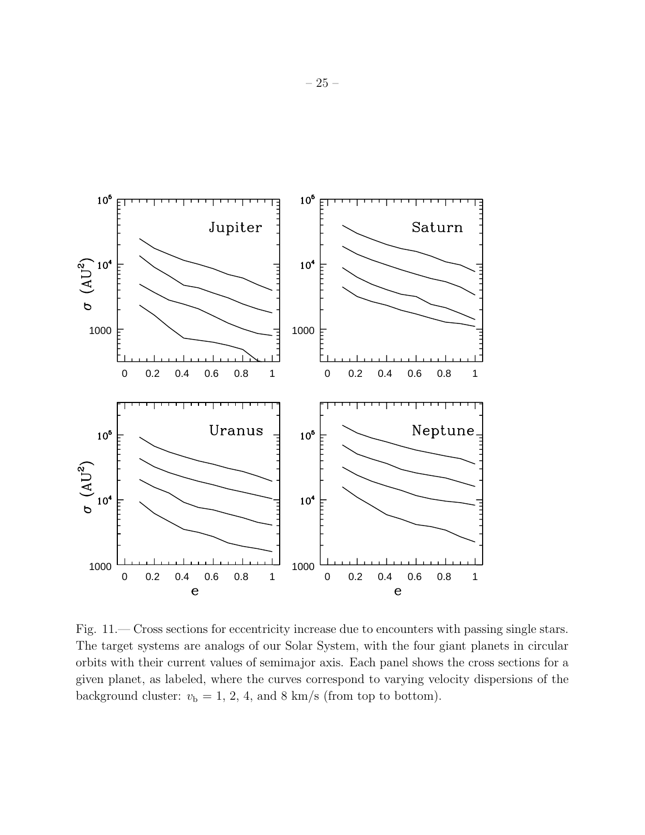

Fig. 11.— Cross sections for eccentricity increase due to encounters with passing single stars. The target systems are analogs of our Solar System, with the four giant planets in circular orbits with their current values of semimajor axis. Each panel shows the cross sections for a given planet, as labeled, where the curves correspond to varying velocity dispersions of the background cluster:  $v_b = 1, 2, 4,$  and 8 km/s (from top to bottom).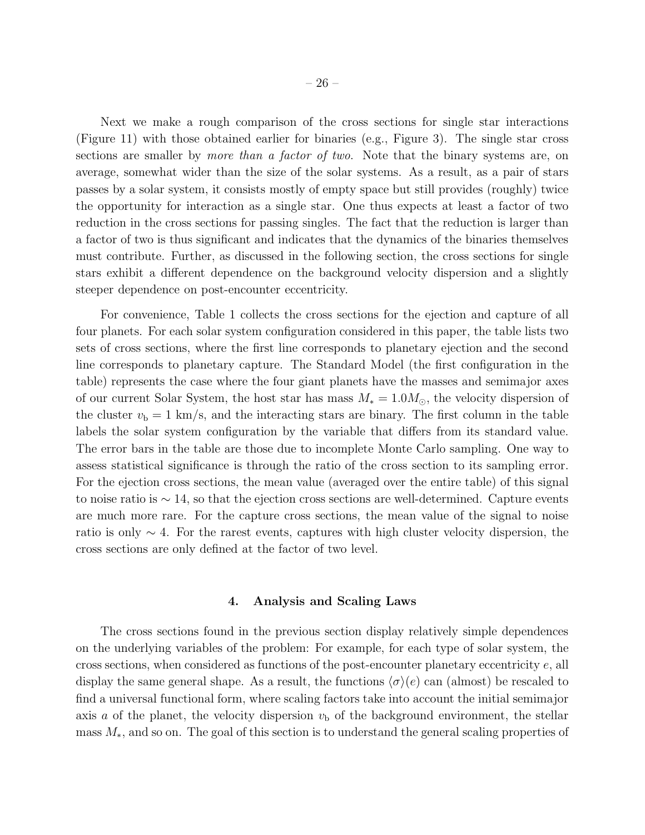Next we make a rough comparison of the cross sections for single star interactions (Figure 11) with those obtained earlier for binaries (e.g., Figure 3). The single star cross sections are smaller by *more than a factor of two*. Note that the binary systems are, on average, somewhat wider than the size of the solar systems. As a result, as a pair of stars passes by a solar system, it consists mostly of empty space but still provides (roughly) twice the opportunity for interaction as a single star. One thus expects at least a factor of two reduction in the cross sections for passing singles. The fact that the reduction is larger than a factor of two is thus significant and indicates that the dynamics of the binaries themselves must contribute. Further, as discussed in the following section, the cross sections for single stars exhibit a different dependence on the background velocity dispersion and a slightly steeper dependence on post-encounter eccentricity.

For convenience, Table 1 collects the cross sections for the ejection and capture of all four planets. For each solar system configuration considered in this paper, the table lists two sets of cross sections, where the first line corresponds to planetary ejection and the second line corresponds to planetary capture. The Standard Model (the first configuration in the table) represents the case where the four giant planets have the masses and semimajor axes of our current Solar System, the host star has mass  $M_* = 1.0 M_{\odot}$ , the velocity dispersion of the cluster  $v<sub>b</sub> = 1$  km/s, and the interacting stars are binary. The first column in the table labels the solar system configuration by the variable that differs from its standard value. The error bars in the table are those due to incomplete Monte Carlo sampling. One way to assess statistical significance is through the ratio of the cross section to its sampling error. For the ejection cross sections, the mean value (averaged over the entire table) of this signal to noise ratio is  $\sim$  14, so that the ejection cross sections are well-determined. Capture events are much more rare. For the capture cross sections, the mean value of the signal to noise ratio is only ∼ 4. For the rarest events, captures with high cluster velocity dispersion, the cross sections are only defined at the factor of two level.

#### 4. Analysis and Scaling Laws

The cross sections found in the previous section display relatively simple dependences on the underlying variables of the problem: For example, for each type of solar system, the cross sections, when considered as functions of the post-encounter planetary eccentricity e, all display the same general shape. As a result, the functions  $\langle \sigma \rangle$ (e) can (almost) be rescaled to find a universal functional form, where scaling factors take into account the initial semimajor axis a of the planet, the velocity dispersion  $v<sub>b</sub>$  of the background environment, the stellar mass  $M_*$ , and so on. The goal of this section is to understand the general scaling properties of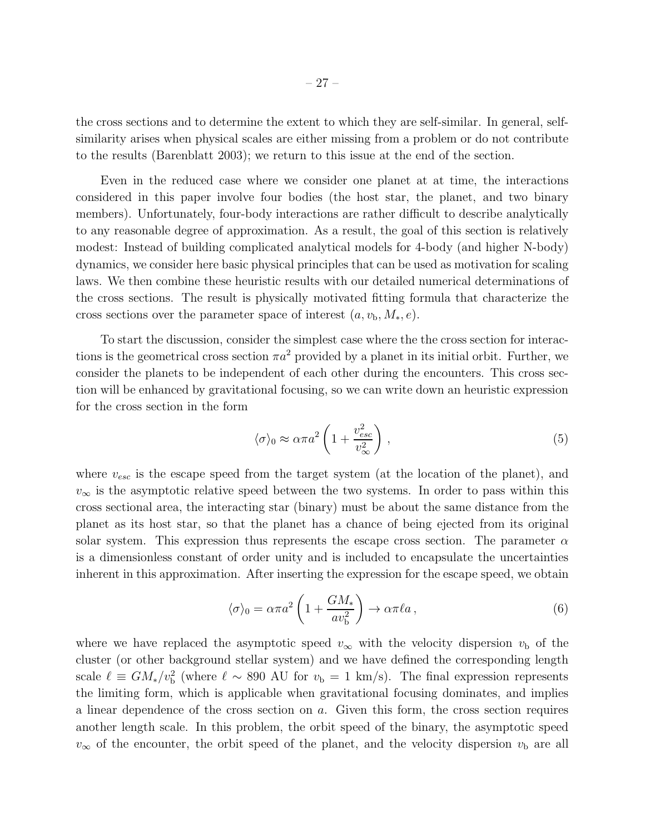the cross sections and to determine the extent to which they are self-similar. In general, selfsimilarity arises when physical scales are either missing from a problem or do not contribute to the results (Barenblatt 2003); we return to this issue at the end of the section.

Even in the reduced case where we consider one planet at at time, the interactions considered in this paper involve four bodies (the host star, the planet, and two binary members). Unfortunately, four-body interactions are rather difficult to describe analytically to any reasonable degree of approximation. As a result, the goal of this section is relatively modest: Instead of building complicated analytical models for 4-body (and higher N-body) dynamics, we consider here basic physical principles that can be used as motivation for scaling laws. We then combine these heuristic results with our detailed numerical determinations of the cross sections. The result is physically motivated fitting formula that characterize the cross sections over the parameter space of interest  $(a, v_{\rm b}, M_*, e)$ .

To start the discussion, consider the simplest case where the the cross section for interactions is the geometrical cross section  $\pi a^2$  provided by a planet in its initial orbit. Further, we consider the planets to be independent of each other during the encounters. This cross section will be enhanced by gravitational focusing, so we can write down an heuristic expression for the cross section in the form

$$
\langle \sigma \rangle_0 \approx \alpha \pi a^2 \left( 1 + \frac{v_{esc}^2}{v_{\infty}^2} \right) , \qquad (5)
$$

where  $v_{esc}$  is the escape speed from the target system (at the location of the planet), and  $v_{\infty}$  is the asymptotic relative speed between the two systems. In order to pass within this cross sectional area, the interacting star (binary) must be about the same distance from the planet as its host star, so that the planet has a chance of being ejected from its original solar system. This expression thus represents the escape cross section. The parameter  $\alpha$ is a dimensionless constant of order unity and is included to encapsulate the uncertainties inherent in this approximation. After inserting the expression for the escape speed, we obtain

$$
\langle \sigma \rangle_0 = \alpha \pi a^2 \left( 1 + \frac{GM_*}{av_b^2} \right) \to \alpha \pi \ell a \,, \tag{6}
$$

where we have replaced the asymptotic speed  $v_{\infty}$  with the velocity dispersion  $v_{\rm b}$  of the cluster (or other background stellar system) and we have defined the corresponding length scale  $\ell \equiv GM_*/v_b^2$  (where  $\ell \sim 890$  AU for  $v_b = 1$  km/s). The final expression represents the limiting form, which is applicable when gravitational focusing dominates, and implies a linear dependence of the cross section on a. Given this form, the cross section requires another length scale. In this problem, the orbit speed of the binary, the asymptotic speed  $v_{\infty}$  of the encounter, the orbit speed of the planet, and the velocity dispersion  $v_{\rm b}$  are all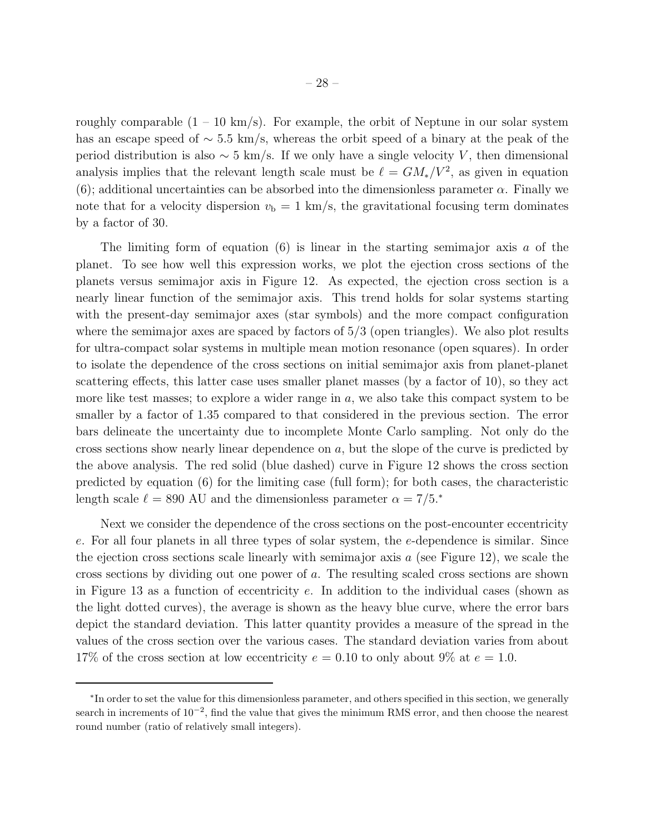roughly comparable  $(1 - 10 \text{ km/s})$ . For example, the orbit of Neptune in our solar system has an escape speed of ∼ 5.5 km/s, whereas the orbit speed of a binary at the peak of the period distribution is also  $\sim 5$  km/s. If we only have a single velocity V, then dimensional analysis implies that the relevant length scale must be  $\ell = GM_*/V^2$ , as given in equation (6); additional uncertainties can be absorbed into the dimensionless parameter  $\alpha$ . Finally we note that for a velocity dispersion  $v<sub>b</sub> = 1$  km/s, the gravitational focusing term dominates by a factor of 30.

The limiting form of equation (6) is linear in the starting semimajor axis  $a$  of the planet. To see how well this expression works, we plot the ejection cross sections of the planets versus semimajor axis in Figure 12. As expected, the ejection cross section is a nearly linear function of the semimajor axis. This trend holds for solar systems starting with the present-day semimajor axes (star symbols) and the more compact configuration where the semimajor axes are spaced by factors of  $5/3$  (open triangles). We also plot results for ultra-compact solar systems in multiple mean motion resonance (open squares). In order to isolate the dependence of the cross sections on initial semimajor axis from planet-planet scattering effects, this latter case uses smaller planet masses (by a factor of 10), so they act more like test masses; to explore a wider range in a, we also take this compact system to be smaller by a factor of 1.35 compared to that considered in the previous section. The error bars delineate the uncertainty due to incomplete Monte Carlo sampling. Not only do the cross sections show nearly linear dependence on a, but the slope of the curve is predicted by the above analysis. The red solid (blue dashed) curve in Figure 12 shows the cross section predicted by equation (6) for the limiting case (full form); for both cases, the characteristic length scale  $\ell = 890$  AU and the dimensionless parameter  $\alpha = 7/5.*$ 

Next we consider the dependence of the cross sections on the post-encounter eccentricity e. For all four planets in all three types of solar system, the e-dependence is similar. Since the ejection cross sections scale linearly with semimajor axis  $a$  (see Figure 12), we scale the cross sections by dividing out one power of a. The resulting scaled cross sections are shown in Figure 13 as a function of eccentricity e. In addition to the individual cases (shown as the light dotted curves), the average is shown as the heavy blue curve, where the error bars depict the standard deviation. This latter quantity provides a measure of the spread in the values of the cross section over the various cases. The standard deviation varies from about 17% of the cross section at low eccentricity  $e = 0.10$  to only about 9% at  $e = 1.0$ .

<sup>∗</sup> In order to set the value for this dimensionless parameter, and others specified in this section, we generally search in increments of  $10^{-2}$ , find the value that gives the minimum RMS error, and then choose the nearest round number (ratio of relatively small integers).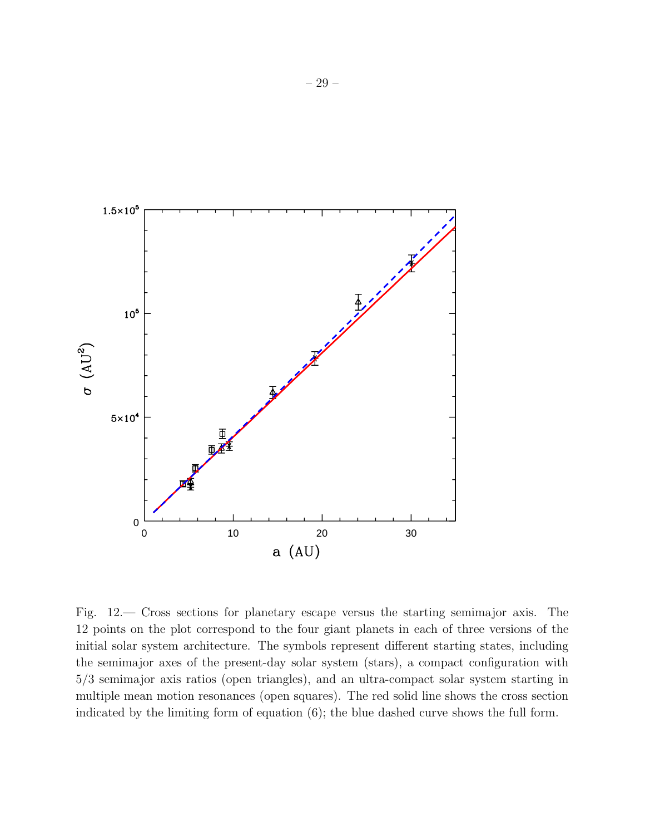

Fig. 12.— Cross sections for planetary escape versus the starting semimajor axis. The 12 points on the plot correspond to the four giant planets in each of three versions of the initial solar system architecture. The symbols represent different starting states, including the semimajor axes of the present-day solar system (stars), a compact configuration with 5/3 semimajor axis ratios (open triangles), and an ultra-compact solar system starting in multiple mean motion resonances (open squares). The red solid line shows the cross section indicated by the limiting form of equation (6); the blue dashed curve shows the full form.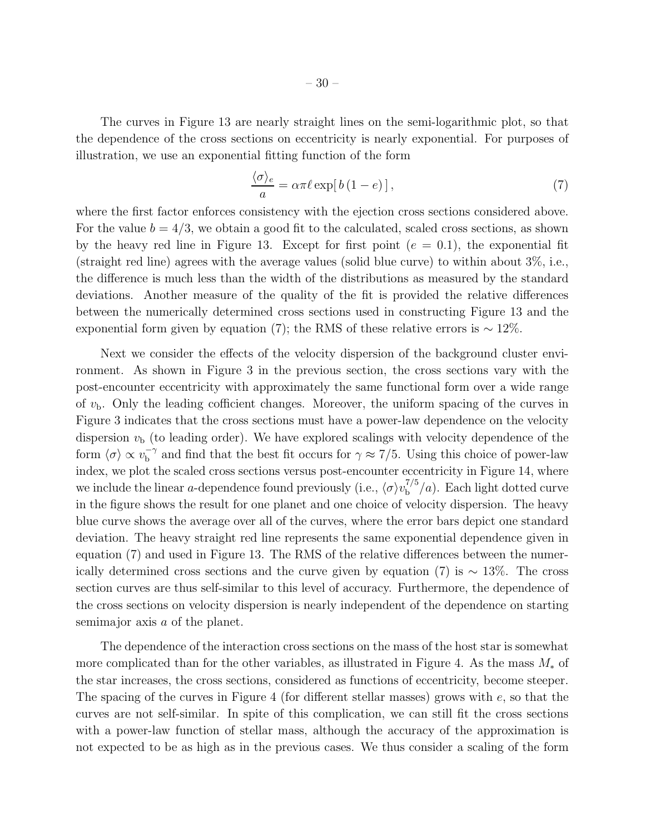The curves in Figure 13 are nearly straight lines on the semi-logarithmic plot, so that the dependence of the cross sections on eccentricity is nearly exponential. For purposes of illustration, we use an exponential fitting function of the form

$$
\frac{\langle \sigma \rangle_e}{a} = \alpha \pi \ell \exp[ b \left( 1 - e \right) ], \qquad (7)
$$

where the first factor enforces consistency with the ejection cross sections considered above. For the value  $b = 4/3$ , we obtain a good fit to the calculated, scaled cross sections, as shown by the heavy red line in Figure 13. Except for first point  $(e = 0.1)$ , the exponential fit (straight red line) agrees with the average values (solid blue curve) to within about 3%, i.e., the difference is much less than the width of the distributions as measured by the standard deviations. Another measure of the quality of the fit is provided the relative differences between the numerically determined cross sections used in constructing Figure 13 and the exponential form given by equation (7); the RMS of these relative errors is  $\sim 12\%$ .

Next we consider the effects of the velocity dispersion of the background cluster environment. As shown in Figure 3 in the previous section, the cross sections vary with the post-encounter eccentricity with approximately the same functional form over a wide range of  $v<sub>b</sub>$ . Only the leading cofficient changes. Moreover, the uniform spacing of the curves in Figure 3 indicates that the cross sections must have a power-law dependence on the velocity dispersion  $v<sub>b</sub>$  (to leading order). We have explored scalings with velocity dependence of the form  $\langle \sigma \rangle \propto v_{\rm b}^{-\gamma}$  $b^{\text{-}\gamma}$  and find that the best fit occurs for  $\gamma \approx 7/5$ . Using this choice of power-law index, we plot the scaled cross sections versus post-encounter eccentricity in Figure 14, where we include the linear a-dependence found previously (i.e.,  $\langle \sigma \rangle v_{\rm b}^{7/5}$  $b^{7/5}/a$ ). Each light dotted curve in the figure shows the result for one planet and one choice of velocity dispersion. The heavy blue curve shows the average over all of the curves, where the error bars depict one standard deviation. The heavy straight red line represents the same exponential dependence given in equation (7) and used in Figure 13. The RMS of the relative differences between the numerically determined cross sections and the curve given by equation (7) is  $\sim 13\%$ . The cross section curves are thus self-similar to this level of accuracy. Furthermore, the dependence of the cross sections on velocity dispersion is nearly independent of the dependence on starting semimajor axis a of the planet.

The dependence of the interaction cross sections on the mass of the host star is somewhat more complicated than for the other variables, as illustrated in Figure 4. As the mass  $M_*$  of the star increases, the cross sections, considered as functions of eccentricity, become steeper. The spacing of the curves in Figure 4 (for different stellar masses) grows with  $e$ , so that the curves are not self-similar. In spite of this complication, we can still fit the cross sections with a power-law function of stellar mass, although the accuracy of the approximation is not expected to be as high as in the previous cases. We thus consider a scaling of the form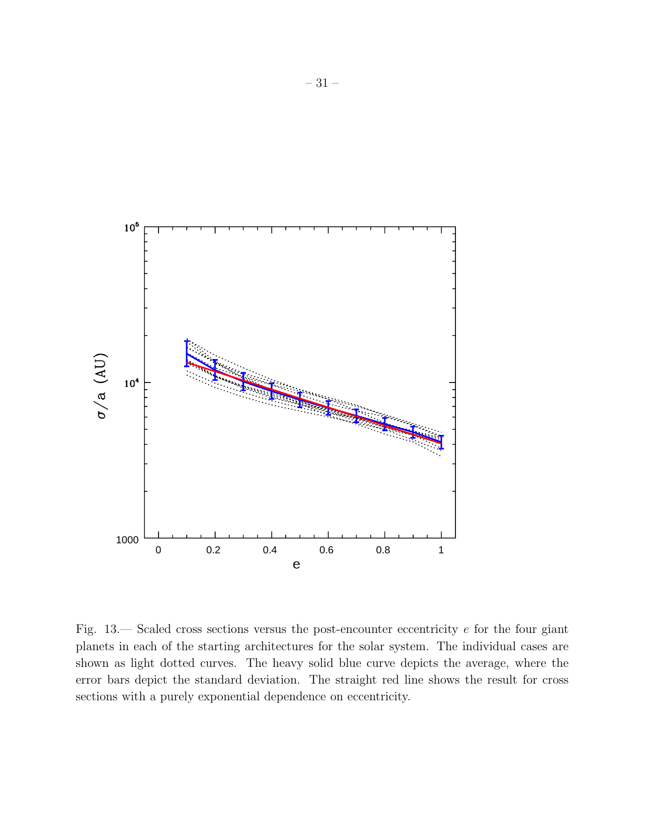

Fig. 13.— Scaled cross sections versus the post-encounter eccentricity e for the four giant planets in each of the starting architectures for the solar system. The individual cases are shown as light dotted curves. The heavy solid blue curve depicts the average, where the error bars depict the standard deviation. The straight red line shows the result for cross sections with a purely exponential dependence on eccentricity.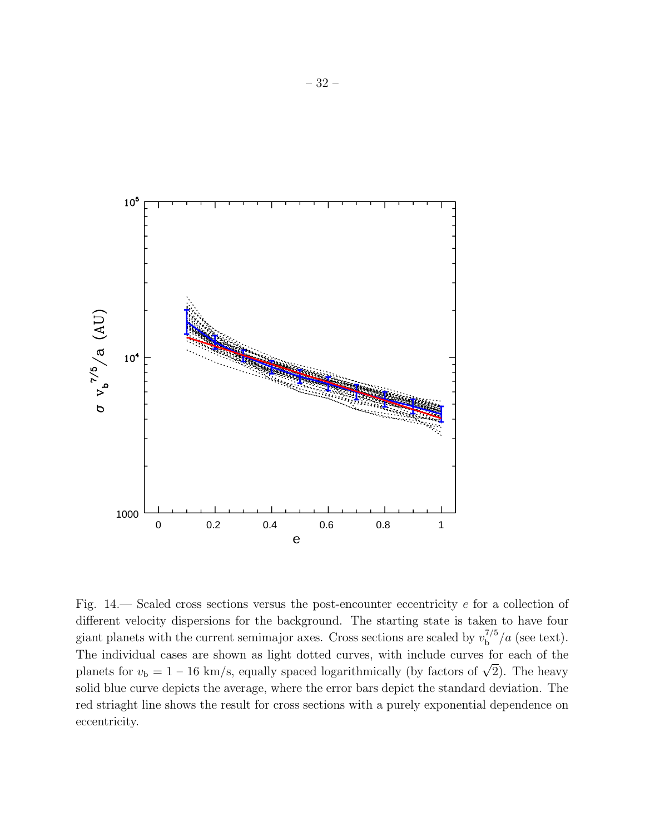

Fig. 14.— Scaled cross sections versus the post-encounter eccentricity e for a collection of different velocity dispersions for the background. The starting state is taken to have four giant planets with the current semimajor axes. Cross sections are scaled by  $v_{\rm b}^{7/5}$  $b^{1/3}/a$  (see text). The individual cases are shown as light dotted curves, with include curves for each of the planets for  $v_{\rm b} = 1 - 16$  km/s, equally spaced logarithmically (by factors of  $\sqrt{2}$ ). The heavy solid blue curve depicts the average, where the error bars depict the standard deviation. The red striaght line shows the result for cross sections with a purely exponential dependence on eccentricity.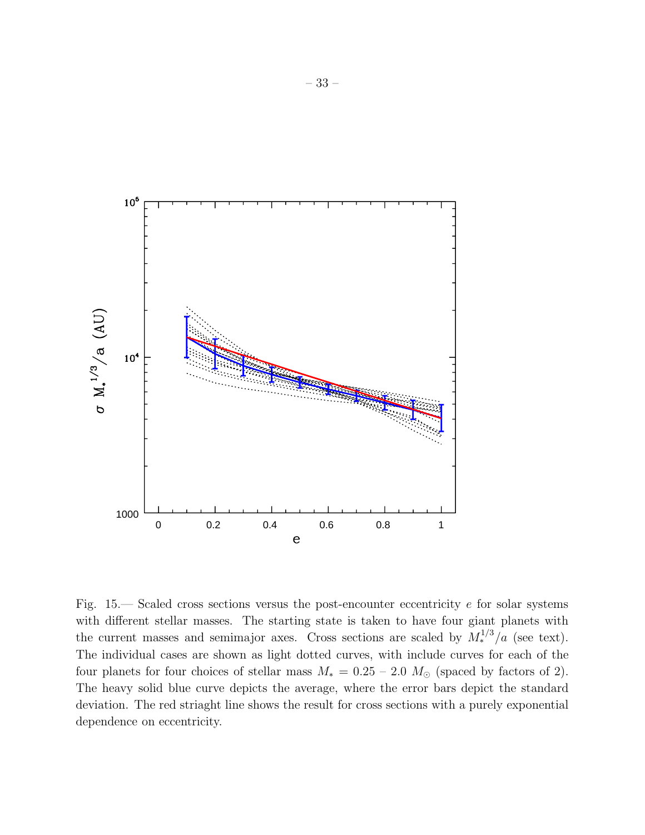

Fig.  $15$ — Scaled cross sections versus the post-encounter eccentricity e for solar systems with different stellar masses. The starting state is taken to have four giant planets with the current masses and semimajor axes. Cross sections are scaled by  $M_*^{1/3}/a$  (see text). The individual cases are shown as light dotted curves, with include curves for each of the four planets for four choices of stellar mass  $M_* = 0.25 - 2.0$   $M_\odot$  (spaced by factors of 2). The heavy solid blue curve depicts the average, where the error bars depict the standard deviation. The red striaght line shows the result for cross sections with a purely exponential dependence on eccentricity.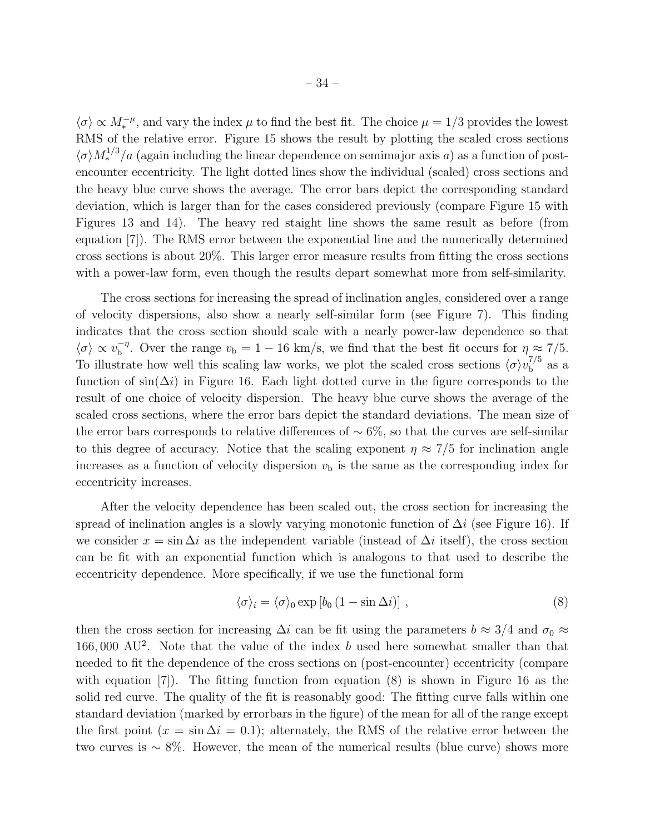$\langle \sigma \rangle \propto M_*^{-\mu}$ , and vary the index  $\mu$  to find the best fit. The choice  $\mu = 1/3$  provides the lowest RMS of the relative error. Figure 15 shows the result by plotting the scaled cross sections  $\langle \sigma \rangle M_*^{1/3}/a$  (again including the linear dependence on semimajor axis a) as a function of postencounter eccentricity. The light dotted lines show the individual (scaled) cross sections and the heavy blue curve shows the average. The error bars depict the corresponding standard deviation, which is larger than for the cases considered previously (compare Figure 15 with Figures 13 and 14). The heavy red staight line shows the same result as before (from equation [7]). The RMS error between the exponential line and the numerically determined cross sections is about 20%. This larger error measure results from fitting the cross sections with a power-law form, even though the results depart somewhat more from self-similarity.

The cross sections for increasing the spread of inclination angles, considered over a range of velocity dispersions, also show a nearly self-similar form (see Figure 7). This finding indicates that the cross section should scale with a nearly power-law dependence so that  $\langle \sigma \rangle \propto v_{\rm b}^{-\eta}$ <sup>-η</sup>. Over the range  $v_{\rm b} = 1 - 16$  km/s, we find that the best fit occurs for  $\eta \approx 7/5$ . To illustrate how well this scaling law works, we plot the scaled cross sections  $\langle \sigma \rangle v_6^{7/5}$  $\frac{1}{b}$  as a function of  $\sin(\Delta i)$  in Figure 16. Each light dotted curve in the figure corresponds to the result of one choice of velocity dispersion. The heavy blue curve shows the average of the scaled cross sections, where the error bars depict the standard deviations. The mean size of the error bars corresponds to relative differences of  $\sim 6\%$ , so that the curves are self-similar to this degree of accuracy. Notice that the scaling exponent  $\eta \approx 7/5$  for inclination angle increases as a function of velocity dispersion  $v<sub>b</sub>$  is the same as the corresponding index for eccentricity increases.

After the velocity dependence has been scaled out, the cross section for increasing the spread of inclination angles is a slowly varying monotonic function of  $\Delta i$  (see Figure 16). If we consider  $x = \sin \Delta i$  as the independent variable (instead of  $\Delta i$  itself), the cross section can be fit with an exponential function which is analogous to that used to describe the eccentricity dependence. More specifically, if we use the functional form

$$
\langle \sigma \rangle_i = \langle \sigma \rangle_0 \exp \left[ b_0 \left( 1 - \sin \Delta i \right) \right], \tag{8}
$$

then the cross section for increasing  $\Delta i$  can be fit using the parameters  $b \approx 3/4$  and  $\sigma_0 \approx$ 166,000 AU<sup>2</sup>. Note that the value of the index b used here somewhat smaller than that needed to fit the dependence of the cross sections on (post-encounter) eccentricity (compare with equation [7]). The fitting function from equation (8) is shown in Figure 16 as the solid red curve. The quality of the fit is reasonably good: The fitting curve falls within one standard deviation (marked by errorbars in the figure) of the mean for all of the range except the first point  $(x = \sin \Delta i = 0.1)$ ; alternately, the RMS of the relative error between the two curves is ∼ 8%. However, the mean of the numerical results (blue curve) shows more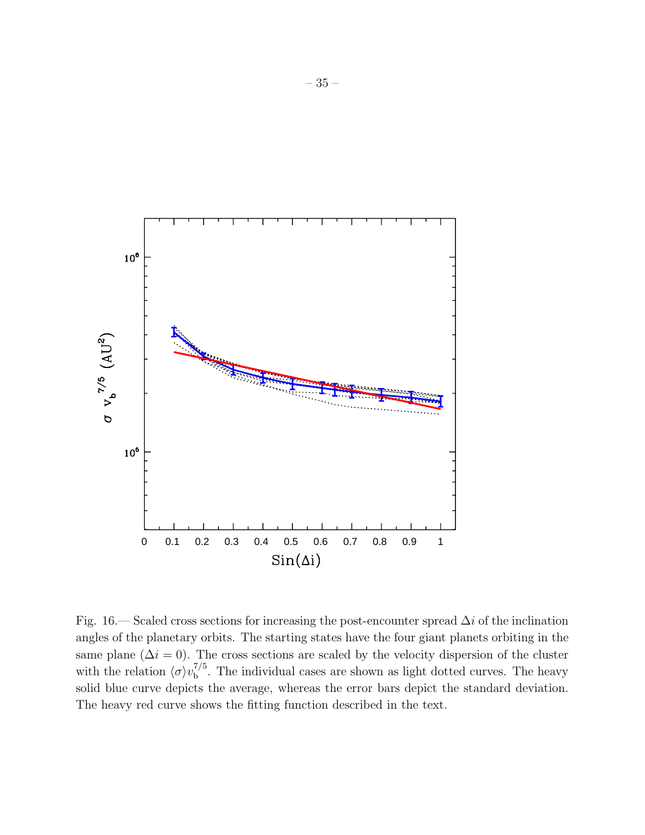

Fig. 16.— Scaled cross sections for increasing the post-encounter spread  $\Delta i$  of the inclination angles of the planetary orbits. The starting states have the four giant planets orbiting in the same plane ( $\Delta i = 0$ ). The cross sections are scaled by the velocity dispersion of the cluster with the relation  $\langle \sigma \rangle v_{\rm b}^{7/5}$  $b<sub>b</sub><sup>t/3</sup>$ . The individual cases are shown as light dotted curves. The heavy solid blue curve depicts the average, whereas the error bars depict the standard deviation. The heavy red curve shows the fitting function described in the text.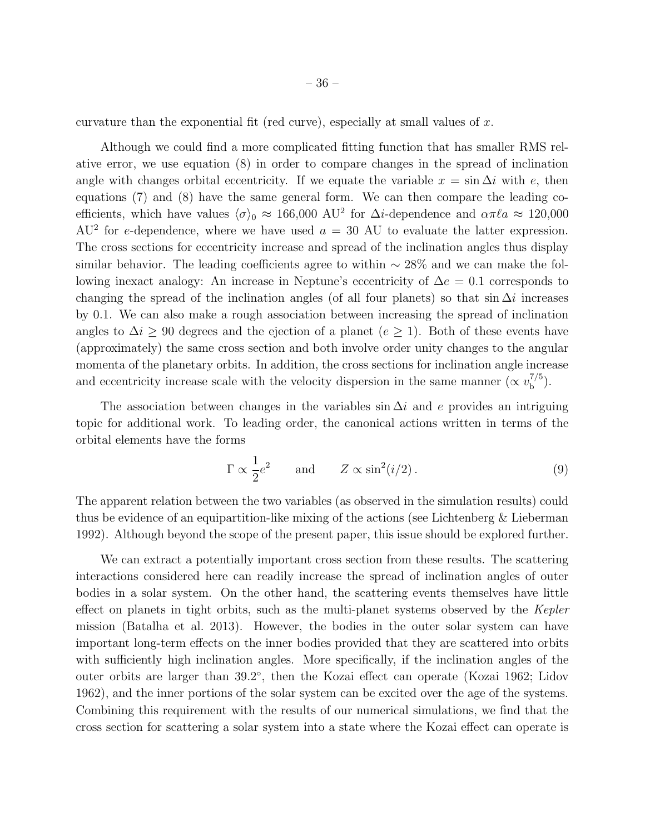curvature than the exponential fit (red curve), especially at small values of  $x$ .

Although we could find a more complicated fitting function that has smaller RMS relative error, we use equation (8) in order to compare changes in the spread of inclination angle with changes orbital eccentricity. If we equate the variable  $x = \sin \Delta i$  with e, then equations (7) and (8) have the same general form. We can then compare the leading coefficients, which have values  $\langle \sigma \rangle_0 \approx 166,000$  AU<sup>2</sup> for  $\Delta i$ -dependence and  $\alpha \pi \ell a \approx 120,000$  $AU^2$  for e-dependence, where we have used  $a = 30$  AU to evaluate the latter expression. The cross sections for eccentricity increase and spread of the inclination angles thus display similar behavior. The leading coefficients agree to within  $\sim$  28% and we can make the following inexact analogy: An increase in Neptune's eccentricity of  $\Delta e = 0.1$  corresponds to changing the spread of the inclination angles (of all four planets) so that sin  $\Delta i$  increases by 0.1. We can also make a rough association between increasing the spread of inclination angles to  $\Delta i \geq 90$  degrees and the ejection of a planet ( $e \geq 1$ ). Both of these events have (approximately) the same cross section and both involve order unity changes to the angular momenta of the planetary orbits. In addition, the cross sections for inclination angle increase and eccentricity increase scale with the velocity dispersion in the same manner ( $\propto v_{\rm b}^{7/5}$  $\binom{1}{b}$ .

The association between changes in the variables sin  $\Delta i$  and e provides an intriguing topic for additional work. To leading order, the canonical actions written in terms of the orbital elements have the forms

$$
\Gamma \propto \frac{1}{2} e^2
$$
 and  $Z \propto \sin^2(i/2)$ . (9)

The apparent relation between the two variables (as observed in the simulation results) could thus be evidence of an equipartition-like mixing of the actions (see Lichtenberg & Lieberman 1992). Although beyond the scope of the present paper, this issue should be explored further.

We can extract a potentially important cross section from these results. The scattering interactions considered here can readily increase the spread of inclination angles of outer bodies in a solar system. On the other hand, the scattering events themselves have little effect on planets in tight orbits, such as the multi-planet systems observed by the Kepler mission (Batalha et al. 2013). However, the bodies in the outer solar system can have important long-term effects on the inner bodies provided that they are scattered into orbits with sufficiently high inclination angles. More specifically, if the inclination angles of the outer orbits are larger than 39.2°, then the Kozai effect can operate (Kozai 1962; Lidov 1962), and the inner portions of the solar system can be excited over the age of the systems. Combining this requirement with the results of our numerical simulations, we find that the cross section for scattering a solar system into a state where the Kozai effect can operate is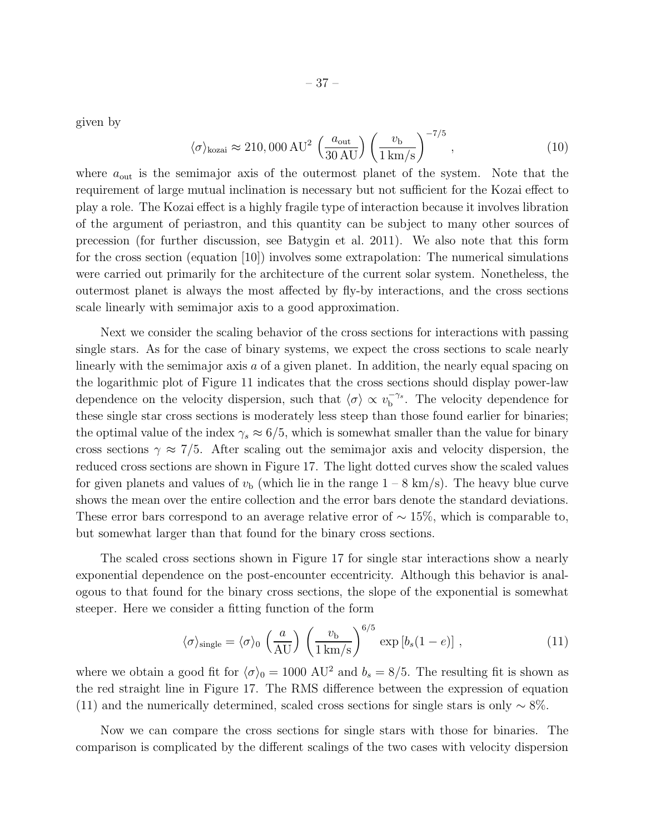given by

$$
\langle \sigma \rangle_{\text{kozai}} \approx 210,000 \,\text{AU}^2 \, \left(\frac{a_{\text{out}}}{30 \,\text{AU}}\right) \left(\frac{v_{\text{b}}}{1 \,\text{km/s}}\right)^{-7/5},\tag{10}
$$

where  $a_{\text{out}}$  is the semimajor axis of the outermost planet of the system. Note that the requirement of large mutual inclination is necessary but not sufficient for the Kozai effect to play a role. The Kozai effect is a highly fragile type of interaction because it involves libration of the argument of periastron, and this quantity can be subject to many other sources of precession (for further discussion, see Batygin et al. 2011). We also note that this form for the cross section (equation [10]) involves some extrapolation: The numerical simulations were carried out primarily for the architecture of the current solar system. Nonetheless, the outermost planet is always the most affected by fly-by interactions, and the cross sections scale linearly with semimajor axis to a good approximation.

Next we consider the scaling behavior of the cross sections for interactions with passing single stars. As for the case of binary systems, we expect the cross sections to scale nearly linearly with the semimajor axis a of a given planet. In addition, the nearly equal spacing on the logarithmic plot of Figure 11 indicates that the cross sections should display power-law dependence on the velocity dispersion, such that  $\langle \sigma \rangle \propto v_{\rm b}^{-\gamma_s}$  $b^{\gamma_s}$ . The velocity dependence for these single star cross sections is moderately less steep than those found earlier for binaries; the optimal value of the index  $\gamma_s \approx 6/5$ , which is somewhat smaller than the value for binary cross sections  $\gamma \approx 7/5$ . After scaling out the semimajor axis and velocity dispersion, the reduced cross sections are shown in Figure 17. The light dotted curves show the scaled values for given planets and values of  $v<sub>b</sub>$  (which lie in the range  $1 - 8 \text{ km/s}$ ). The heavy blue curve shows the mean over the entire collection and the error bars denote the standard deviations. These error bars correspond to an average relative error of  $\sim 15\%$ , which is comparable to, but somewhat larger than that found for the binary cross sections.

The scaled cross sections shown in Figure 17 for single star interactions show a nearly exponential dependence on the post-encounter eccentricity. Although this behavior is analogous to that found for the binary cross sections, the slope of the exponential is somewhat steeper. Here we consider a fitting function of the form

$$
\langle \sigma \rangle_{\text{single}} = \langle \sigma \rangle_0 \left( \frac{a}{\text{AU}} \right) \left( \frac{v_\text{b}}{1 \text{ km/s}} \right)^{6/5} \exp \left[ b_s (1 - e) \right], \tag{11}
$$

where we obtain a good fit for  $\langle \sigma \rangle_0 = 1000 \text{ AU}^2$  and  $b_s = 8/5$ . The resulting fit is shown as the red straight line in Figure 17. The RMS difference between the expression of equation (11) and the numerically determined, scaled cross sections for single stars is only  $\sim 8\%$ .

Now we can compare the cross sections for single stars with those for binaries. The comparison is complicated by the different scalings of the two cases with velocity dispersion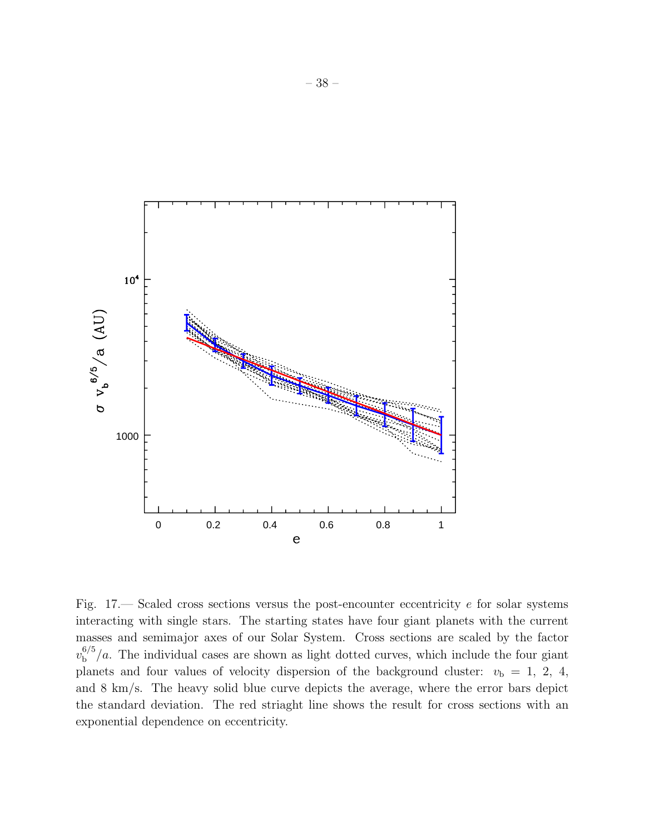

Fig.  $17$ — Scaled cross sections versus the post-encounter eccentricity e for solar systems interacting with single stars. The starting states have four giant planets with the current masses and semimajor axes of our Solar System. Cross sections are scaled by the factor  $v_{\rm b}^{6/5}$  $b^{0/3}/a$ . The individual cases are shown as light dotted curves, which include the four giant planets and four values of velocity dispersion of the background cluster:  $v<sub>b</sub> = 1, 2, 4,$ and 8 km/s. The heavy solid blue curve depicts the average, where the error bars depict the standard deviation. The red striaght line shows the result for cross sections with an exponential dependence on eccentricity.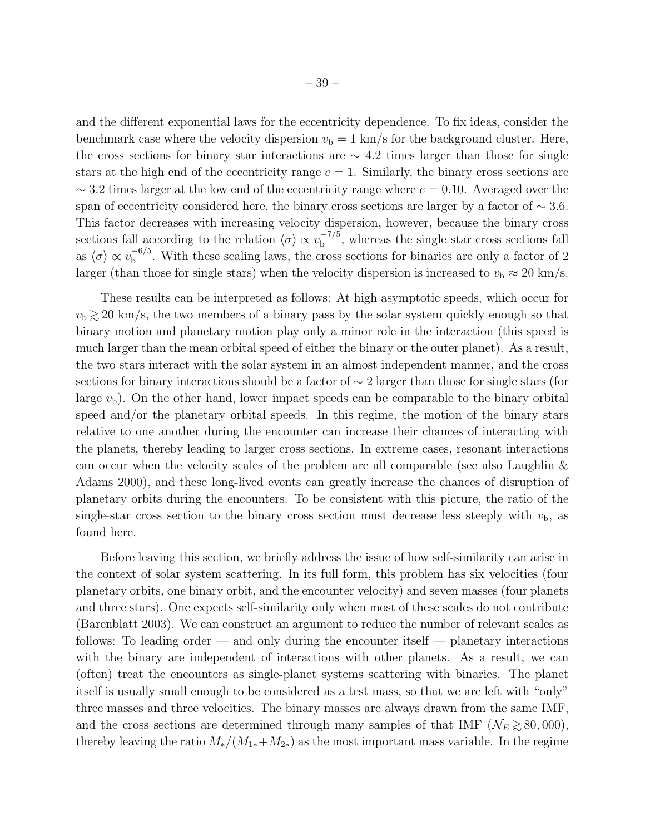and the different exponential laws for the eccentricity dependence. To fix ideas, consider the benchmark case where the velocity dispersion  $v<sub>b</sub> = 1$  km/s for the background cluster. Here, the cross sections for binary star interactions are  $\sim$  4.2 times larger than those for single stars at the high end of the eccentricity range  $e = 1$ . Similarly, the binary cross sections are  $\sim$  3.2 times larger at the low end of the eccentricity range where  $e = 0.10$ . Averaged over the span of eccentricity considered here, the binary cross sections are larger by a factor of  $\sim 3.6$ . This factor decreases with increasing velocity dispersion, however, because the binary cross sections fall according to the relation  $\langle \sigma \rangle \propto v_{\rm b}^{-7/5}$  $b<sup>-1/3</sup>$ , whereas the single star cross sections fall as  $\langle \sigma \rangle \propto v_{\rm b}^{-6/5}$  $b<sup>-0/3</sup>$ . With these scaling laws, the cross sections for binaries are only a factor of 2 larger (than those for single stars) when the velocity dispersion is increased to  $v<sub>b</sub> \approx 20$  km/s.

These results can be interpreted as follows: At high asymptotic speeds, which occur for  $v<sub>b</sub>$   $\gtrsim$  20 km/s, the two members of a binary pass by the solar system quickly enough so that binary motion and planetary motion play only a minor role in the interaction (this speed is much larger than the mean orbital speed of either the binary or the outer planet). As a result, the two stars interact with the solar system in an almost independent manner, and the cross sections for binary interactions should be a factor of  $\sim$  2 larger than those for single stars (for large  $v<sub>b</sub>$ ). On the other hand, lower impact speeds can be comparable to the binary orbital speed and/or the planetary orbital speeds. In this regime, the motion of the binary stars relative to one another during the encounter can increase their chances of interacting with the planets, thereby leading to larger cross sections. In extreme cases, resonant interactions can occur when the velocity scales of the problem are all comparable (see also Laughlin & Adams 2000), and these long-lived events can greatly increase the chances of disruption of planetary orbits during the encounters. To be consistent with this picture, the ratio of the single-star cross section to the binary cross section must decrease less steeply with  $v<sub>b</sub>$ , as found here.

Before leaving this section, we briefly address the issue of how self-similarity can arise in the context of solar system scattering. In its full form, this problem has six velocities (four planetary orbits, one binary orbit, and the encounter velocity) and seven masses (four planets and three stars). One expects self-similarity only when most of these scales do not contribute (Barenblatt 2003). We can construct an argument to reduce the number of relevant scales as follows: To leading order — and only during the encounter itself — planetary interactions with the binary are independent of interactions with other planets. As a result, we can (often) treat the encounters as single-planet systems scattering with binaries. The planet itself is usually small enough to be considered as a test mass, so that we are left with "only" three masses and three velocities. The binary masses are always drawn from the same IMF, and the cross sections are determined through many samples of that IMF ( $\mathcal{N}_E \gtrsim 80,000$ ), thereby leaving the ratio  $M_*/(M_{1*}+M_{2*})$  as the most important mass variable. In the regime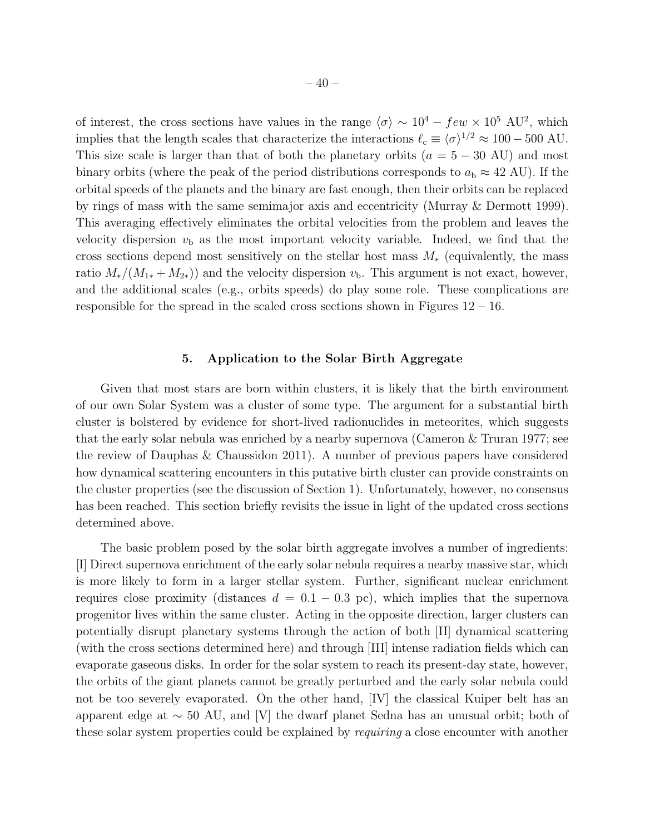of interest, the cross sections have values in the range  $\langle \sigma \rangle \sim 10^4 - few \times 10^5$  AU<sup>2</sup>, which implies that the length scales that characterize the interactions  $\ell_c \equiv \langle \sigma \rangle^{1/2} \approx 100 - 500$  AU. This size scale is larger than that of both the planetary orbits  $(a = 5 - 30 \text{ AU})$  and most binary orbits (where the peak of the period distributions corresponds to  $a_{\rm b} \approx 42$  AU). If the orbital speeds of the planets and the binary are fast enough, then their orbits can be replaced by rings of mass with the same semimajor axis and eccentricity (Murray & Dermott 1999). This averaging effectively eliminates the orbital velocities from the problem and leaves the velocity dispersion  $v<sub>b</sub>$  as the most important velocity variable. Indeed, we find that the cross sections depend most sensitively on the stellar host mass  $M_*$  (equivalently, the mass ratio  $M_*/(M_{1*} + M_{2*})$  and the velocity dispersion  $v<sub>b</sub>$ . This argument is not exact, however, and the additional scales (e.g., orbits speeds) do play some role. These complications are responsible for the spread in the scaled cross sections shown in Figures  $12 - 16$ .

## 5. Application to the Solar Birth Aggregate

Given that most stars are born within clusters, it is likely that the birth environment of our own Solar System was a cluster of some type. The argument for a substantial birth cluster is bolstered by evidence for short-lived radionuclides in meteorites, which suggests that the early solar nebula was enriched by a nearby supernova (Cameron & Truran 1977; see the review of Dauphas & Chaussidon 2011). A number of previous papers have considered how dynamical scattering encounters in this putative birth cluster can provide constraints on the cluster properties (see the discussion of Section 1). Unfortunately, however, no consensus has been reached. This section briefly revisits the issue in light of the updated cross sections determined above.

The basic problem posed by the solar birth aggregate involves a number of ingredients: [I] Direct supernova enrichment of the early solar nebula requires a nearby massive star, which is more likely to form in a larger stellar system. Further, significant nuclear enrichment requires close proximity (distances  $d = 0.1 - 0.3$  pc), which implies that the supernova progenitor lives within the same cluster. Acting in the opposite direction, larger clusters can potentially disrupt planetary systems through the action of both [II] dynamical scattering (with the cross sections determined here) and through [III] intense radiation fields which can evaporate gaseous disks. In order for the solar system to reach its present-day state, however, the orbits of the giant planets cannot be greatly perturbed and the early solar nebula could not be too severely evaporated. On the other hand, [IV] the classical Kuiper belt has an apparent edge at  $\sim 50$  AU, and [V] the dwarf planet Sedna has an unusual orbit; both of these solar system properties could be explained by requiring a close encounter with another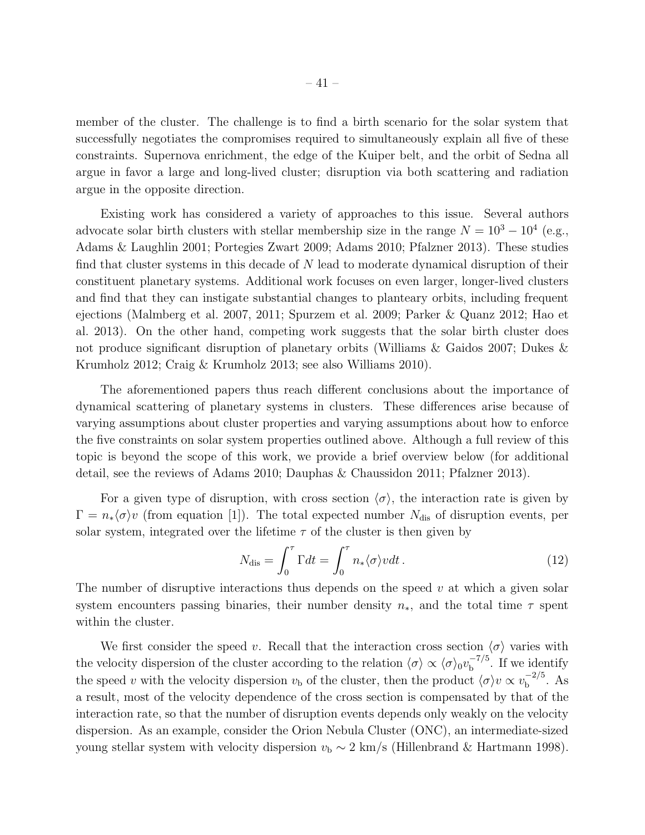member of the cluster. The challenge is to find a birth scenario for the solar system that successfully negotiates the compromises required to simultaneously explain all five of these constraints. Supernova enrichment, the edge of the Kuiper belt, and the orbit of Sedna all argue in favor a large and long-lived cluster; disruption via both scattering and radiation argue in the opposite direction.

Existing work has considered a variety of approaches to this issue. Several authors advocate solar birth clusters with stellar membership size in the range  $N = 10^3 - 10^4$  (e.g., Adams & Laughlin 2001; Portegies Zwart 2009; Adams 2010; Pfalzner 2013). These studies find that cluster systems in this decade of  $N$  lead to moderate dynamical disruption of their constituent planetary systems. Additional work focuses on even larger, longer-lived clusters and find that they can instigate substantial changes to planteary orbits, including frequent ejections (Malmberg et al. 2007, 2011; Spurzem et al. 2009; Parker & Quanz 2012; Hao et al. 2013). On the other hand, competing work suggests that the solar birth cluster does not produce significant disruption of planetary orbits (Williams & Gaidos 2007; Dukes & Krumholz 2012; Craig & Krumholz 2013; see also Williams 2010).

The aforementioned papers thus reach different conclusions about the importance of dynamical scattering of planetary systems in clusters. These differences arise because of varying assumptions about cluster properties and varying assumptions about how to enforce the five constraints on solar system properties outlined above. Although a full review of this topic is beyond the scope of this work, we provide a brief overview below (for additional detail, see the reviews of Adams 2010; Dauphas & Chaussidon 2011; Pfalzner 2013).

For a given type of disruption, with cross section  $\langle \sigma \rangle$ , the interaction rate is given by  $\Gamma = n_{*}\langle \sigma \rangle v$  (from equation [1]). The total expected number N<sub>dis</sub> of disruption events, per solar system, integrated over the lifetime  $\tau$  of the cluster is then given by

$$
N_{\text{dis}} = \int_0^{\tau} \Gamma dt = \int_0^{\tau} n_* \langle \sigma \rangle v dt. \qquad (12)
$$

The number of disruptive interactions thus depends on the speed  $v$  at which a given solar system encounters passing binaries, their number density  $n_{*}$ , and the total time  $\tau$  spent within the cluster.

We first consider the speed v. Recall that the interaction cross section  $\langle \sigma \rangle$  varies with the velocity dispersion of the cluster according to the relation  $\langle \sigma \rangle \propto \langle \sigma \rangle_0 v_{\rm b}^{-7/5}$  $b^{-1/3}$ . If we identify the speed v with the velocity dispersion  $v_{\rm b}$  of the cluster, then the product  $\langle \sigma \rangle v \propto v_{\rm b}^{-2/5}$  $b^{\frac{-2}{9}}$ . As a result, most of the velocity dependence of the cross section is compensated by that of the interaction rate, so that the number of disruption events depends only weakly on the velocity dispersion. As an example, consider the Orion Nebula Cluster (ONC), an intermediate-sized young stellar system with velocity dispersion  $v<sub>b</sub> \sim 2$  km/s (Hillenbrand & Hartmann 1998).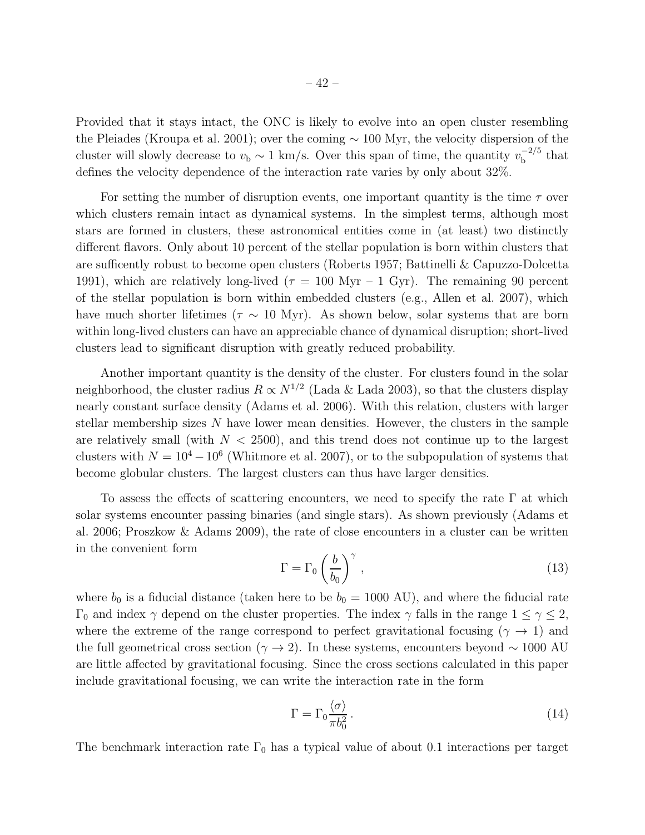Provided that it stays intact, the ONC is likely to evolve into an open cluster resembling the Pleiades (Kroupa et al. 2001); over the coming ∼ 100 Myr, the velocity dispersion of the cluster will slowly decrease to  $v<sub>b</sub> \sim 1$  km/s. Over this span of time, the quantity  $v<sub>b</sub><sup>-2/5</sup>$  $_{\rm b}^{-2/5}$  that defines the velocity dependence of the interaction rate varies by only about 32%.

For setting the number of disruption events, one important quantity is the time  $\tau$  over which clusters remain intact as dynamical systems. In the simplest terms, although most stars are formed in clusters, these astronomical entities come in (at least) two distinctly different flavors. Only about 10 percent of the stellar population is born within clusters that are sufficently robust to become open clusters (Roberts 1957; Battinelli & Capuzzo-Dolcetta 1991), which are relatively long-lived ( $\tau = 100$  Myr – 1 Gyr). The remaining 90 percent of the stellar population is born within embedded clusters (e.g., Allen et al. 2007), which have much shorter lifetimes ( $\tau \sim 10$  Myr). As shown below, solar systems that are born within long-lived clusters can have an appreciable chance of dynamical disruption; short-lived clusters lead to significant disruption with greatly reduced probability.

Another important quantity is the density of the cluster. For clusters found in the solar neighborhood, the cluster radius  $R \propto N^{1/2}$  (Lada & Lada 2003), so that the clusters display nearly constant surface density (Adams et al. 2006). With this relation, clusters with larger stellar membership sizes N have lower mean densities. However, the clusters in the sample are relatively small (with  $N < 2500$ ), and this trend does not continue up to the largest clusters with  $N = 10^4 - 10^6$  (Whitmore et al. 2007), or to the subpopulation of systems that become globular clusters. The largest clusters can thus have larger densities.

To assess the effects of scattering encounters, we need to specify the rate  $\Gamma$  at which solar systems encounter passing binaries (and single stars). As shown previously (Adams et al. 2006; Proszkow & Adams 2009), the rate of close encounters in a cluster can be written in the convenient form

$$
\Gamma = \Gamma_0 \left(\frac{b}{b_0}\right)^{\gamma},\tag{13}
$$

where  $b_0$  is a fiducial distance (taken here to be  $b_0 = 1000$  AU), and where the fiducial rate Γ<sub>0</sub> and index  $\gamma$  depend on the cluster properties. The index  $\gamma$  falls in the range  $1 \leq \gamma \leq 2$ , where the extreme of the range correspond to perfect gravitational focusing ( $\gamma \rightarrow 1$ ) and the full geometrical cross section ( $\gamma \to 2$ ). In these systems, encounters beyond ~ 1000 AU are little affected by gravitational focusing. Since the cross sections calculated in this paper include gravitational focusing, we can write the interaction rate in the form

$$
\Gamma = \Gamma_0 \frac{\langle \sigma \rangle}{\pi b_0^2} \,. \tag{14}
$$

The benchmark interaction rate  $\Gamma_0$  has a typical value of about 0.1 interactions per target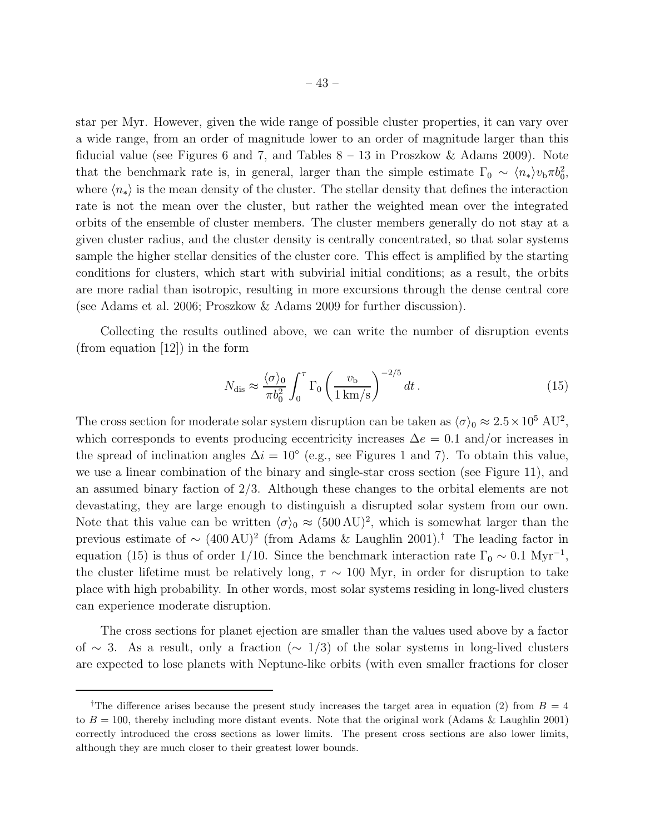star per Myr. However, given the wide range of possible cluster properties, it can vary over a wide range, from an order of magnitude lower to an order of magnitude larger than this fiducial value (see Figures 6 and 7, and Tables  $8 - 13$  in Proszkow & Adams 2009). Note that the benchmark rate is, in general, larger than the simple estimate  $\Gamma_0 \sim \langle n_* \rangle v_{\rm b} \pi b_0^2$ , where  $\langle n_* \rangle$  is the mean density of the cluster. The stellar density that defines the interaction rate is not the mean over the cluster, but rather the weighted mean over the integrated orbits of the ensemble of cluster members. The cluster members generally do not stay at a given cluster radius, and the cluster density is centrally concentrated, so that solar systems sample the higher stellar densities of the cluster core. This effect is amplified by the starting conditions for clusters, which start with subvirial initial conditions; as a result, the orbits are more radial than isotropic, resulting in more excursions through the dense central core (see Adams et al. 2006; Proszkow & Adams 2009 for further discussion).

Collecting the results outlined above, we can write the number of disruption events (from equation [12]) in the form

$$
N_{\rm dis} \approx \frac{\langle \sigma \rangle_0}{\pi b_0^2} \int_0^{\tau} \Gamma_0 \left( \frac{v_{\rm b}}{1 \, \text{km/s}} \right)^{-2/5} dt \,. \tag{15}
$$

The cross section for moderate solar system disruption can be taken as  $\langle \sigma \rangle_0 \approx 2.5 \times 10^5$  AU<sup>2</sup>, which corresponds to events producing eccentricity increases  $\Delta e = 0.1$  and/or increases in the spread of inclination angles  $\Delta i = 10^{\circ}$  (e.g., see Figures 1 and 7). To obtain this value, we use a linear combination of the binary and single-star cross section (see Figure 11), and an assumed binary faction of 2/3. Although these changes to the orbital elements are not devastating, they are large enough to distinguish a disrupted solar system from our own. Note that this value can be written  $\langle \sigma \rangle_0 \approx (500 \,\text{AU})^2$ , which is somewhat larger than the previous estimate of <sup>∼</sup> (400 AU)<sup>2</sup> (from Adams & Laughlin 2001).† The leading factor in equation (15) is thus of order 1/10. Since the benchmark interaction rate  $\Gamma_0 \sim 0.1 \text{ Myr}^{-1}$ , the cluster lifetime must be relatively long,  $\tau \sim 100$  Myr, in order for disruption to take place with high probability. In other words, most solar systems residing in long-lived clusters can experience moderate disruption.

The cross sections for planet ejection are smaller than the values used above by a factor of ∼ 3. As a result, only a fraction (∼ 1/3) of the solar systems in long-lived clusters are expected to lose planets with Neptune-like orbits (with even smaller fractions for closer

<sup>&</sup>lt;sup>†</sup>The difference arises because the present study increases the target area in equation (2) from  $B = 4$ to  $B = 100$ , thereby including more distant events. Note that the original work (Adams & Laughlin 2001) correctly introduced the cross sections as lower limits. The present cross sections are also lower limits, although they are much closer to their greatest lower bounds.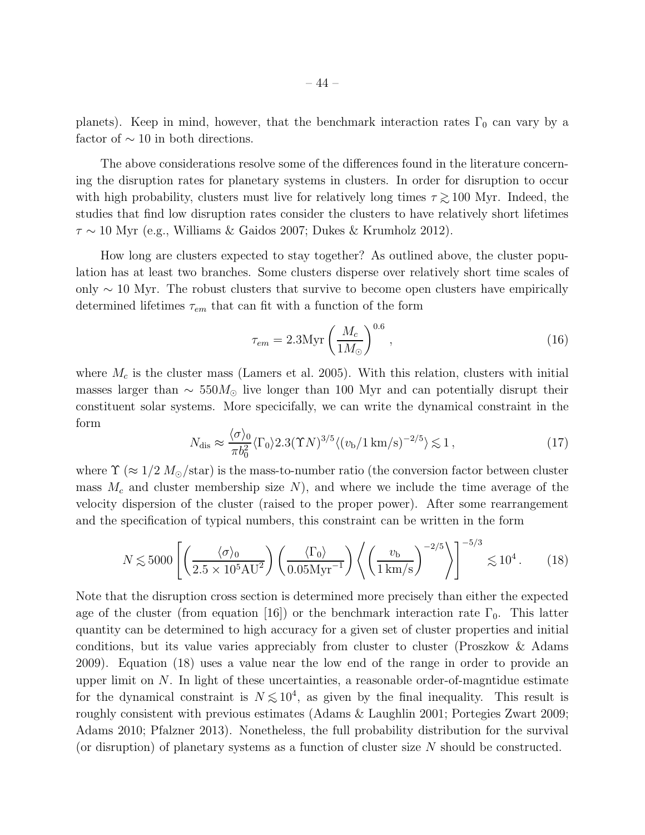planets). Keep in mind, however, that the benchmark interaction rates  $\Gamma_0$  can vary by a factor of  $\sim$  10 in both directions.

The above considerations resolve some of the differences found in the literature concerning the disruption rates for planetary systems in clusters. In order for disruption to occur with high probability, clusters must live for relatively long times  $\tau \gtrsim 100$  Myr. Indeed, the studies that find low disruption rates consider the clusters to have relatively short lifetimes  $\tau \sim 10$  Myr (e.g., Williams & Gaidos 2007; Dukes & Krumholz 2012).

How long are clusters expected to stay together? As outlined above, the cluster population has at least two branches. Some clusters disperse over relatively short time scales of only  $\sim$  10 Myr. The robust clusters that survive to become open clusters have empirically determined lifetimes  $\tau_{em}$  that can fit with a function of the form

$$
\tau_{em} = 2.3 \text{Myr} \left(\frac{M_c}{1 M_{\odot}}\right)^{0.6},\tag{16}
$$

where  $M_c$  is the cluster mass (Lamers et al. 2005). With this relation, clusters with initial masses larger than  $\sim 550M_{\odot}$  live longer than 100 Myr and can potentially disrupt their constituent solar systems. More specicifally, we can write the dynamical constraint in the form

$$
N_{\rm dis} \approx \frac{\langle \sigma \rangle_0}{\pi b_0^2} \langle \Gamma_0 \rangle 2.3 (\Upsilon N)^{3/5} \langle (v_b / 1 \, \text{km/s})^{-2/5} \rangle \lesssim 1 \,, \tag{17}
$$

where  $\Upsilon$  ( $\approx 1/2$   $M_{\odot}$ /star) is the mass-to-number ratio (the conversion factor between cluster mass  $M_c$  and cluster membership size N), and where we include the time average of the velocity dispersion of the cluster (raised to the proper power). After some rearrangement and the specification of typical numbers, this constraint can be written in the form

$$
N \lesssim 5000 \left[ \left( \frac{\langle \sigma \rangle_0}{2.5 \times 10^5 \text{AU}^2} \right) \left( \frac{\langle \Gamma_0 \rangle}{0.05 \text{Myr}^{-1}} \right) \left\langle \left( \frac{v_\text{b}}{1 \text{ km/s}} \right)^{-2/5} \right\rangle \right]^{-5/3} \lesssim 10^4 \,. \tag{18}
$$

Note that the disruption cross section is determined more precisely than either the expected age of the cluster (from equation [16]) or the benchmark interaction rate  $\Gamma_0$ . This latter quantity can be determined to high accuracy for a given set of cluster properties and initial conditions, but its value varies appreciably from cluster to cluster (Proszkow & Adams 2009). Equation (18) uses a value near the low end of the range in order to provide an upper limit on  $N$ . In light of these uncertainties, a reasonable order-of-magntidue estimate for the dynamical constraint is  $N \lesssim 10^4$ , as given by the final inequality. This result is roughly consistent with previous estimates (Adams & Laughlin 2001; Portegies Zwart 2009; Adams 2010; Pfalzner 2013). Nonetheless, the full probability distribution for the survival (or disruption) of planetary systems as a function of cluster size N should be constructed.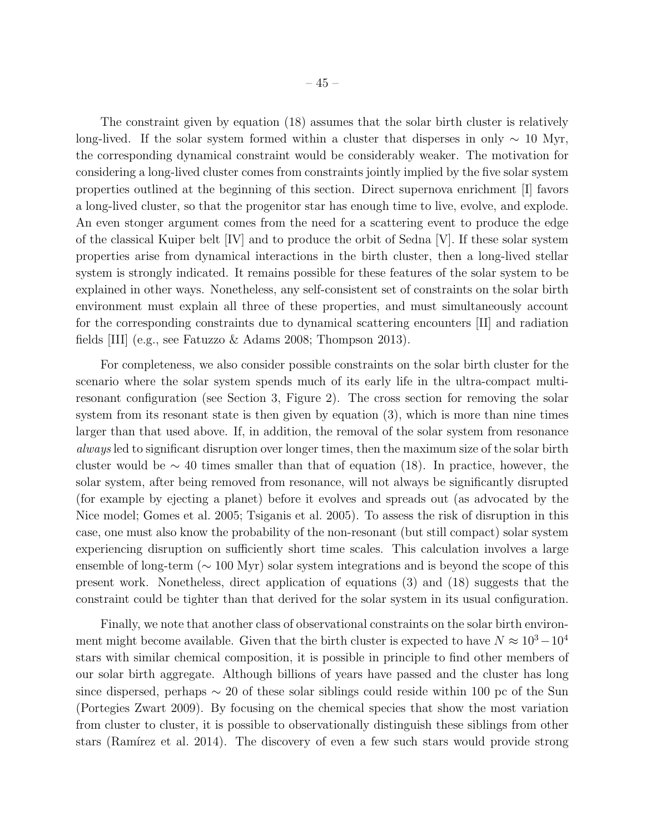The constraint given by equation (18) assumes that the solar birth cluster is relatively long-lived. If the solar system formed within a cluster that disperses in only  $\sim 10$  Myr, the corresponding dynamical constraint would be considerably weaker. The motivation for considering a long-lived cluster comes from constraints jointly implied by the five solar system properties outlined at the beginning of this section. Direct supernova enrichment [I] favors a long-lived cluster, so that the progenitor star has enough time to live, evolve, and explode. An even stonger argument comes from the need for a scattering event to produce the edge of the classical Kuiper belt [IV] and to produce the orbit of Sedna [V]. If these solar system properties arise from dynamical interactions in the birth cluster, then a long-lived stellar system is strongly indicated. It remains possible for these features of the solar system to be explained in other ways. Nonetheless, any self-consistent set of constraints on the solar birth environment must explain all three of these properties, and must simultaneously account for the corresponding constraints due to dynamical scattering encounters [II] and radiation fields [III] (e.g., see Fatuzzo & Adams 2008; Thompson 2013).

For completeness, we also consider possible constraints on the solar birth cluster for the scenario where the solar system spends much of its early life in the ultra-compact multiresonant configuration (see Section 3, Figure 2). The cross section for removing the solar system from its resonant state is then given by equation (3), which is more than nine times larger than that used above. If, in addition, the removal of the solar system from resonance always led to significant disruption over longer times, then the maximum size of the solar birth cluster would be  $\sim$  40 times smaller than that of equation (18). In practice, however, the solar system, after being removed from resonance, will not always be significantly disrupted (for example by ejecting a planet) before it evolves and spreads out (as advocated by the Nice model; Gomes et al. 2005; Tsiganis et al. 2005). To assess the risk of disruption in this case, one must also know the probability of the non-resonant (but still compact) solar system experiencing disruption on sufficiently short time scales. This calculation involves a large ensemble of long-term (∼ 100 Myr) solar system integrations and is beyond the scope of this present work. Nonetheless, direct application of equations (3) and (18) suggests that the constraint could be tighter than that derived for the solar system in its usual configuration.

Finally, we note that another class of observational constraints on the solar birth environment might become available. Given that the birth cluster is expected to have  $N \approx 10^3 - 10^4$ stars with similar chemical composition, it is possible in principle to find other members of our solar birth aggregate. Although billions of years have passed and the cluster has long since dispersed, perhaps  $\sim 20$  of these solar siblings could reside within 100 pc of the Sun (Portegies Zwart 2009). By focusing on the chemical species that show the most variation from cluster to cluster, it is possible to observationally distinguish these siblings from other stars (Ramírez et al. 2014). The discovery of even a few such stars would provide strong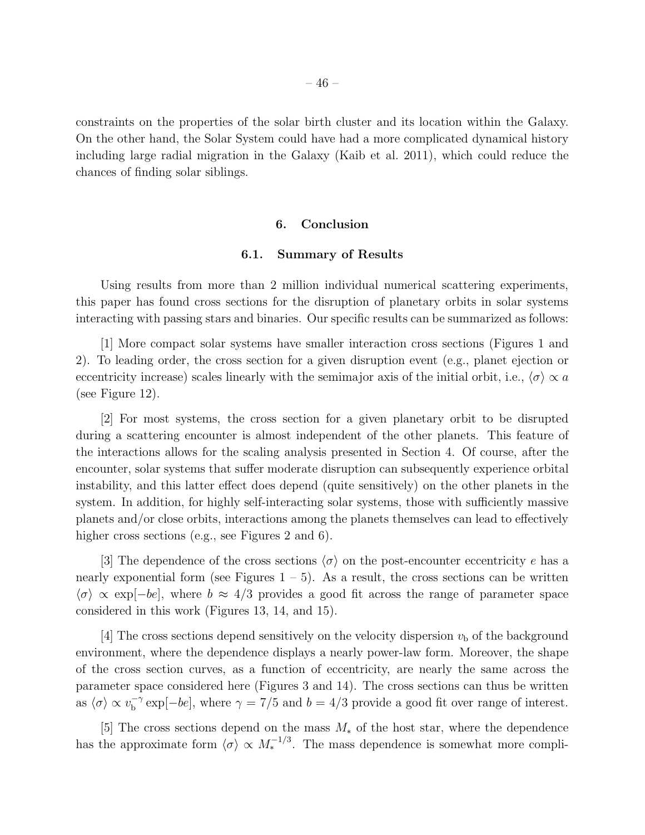constraints on the properties of the solar birth cluster and its location within the Galaxy. On the other hand, the Solar System could have had a more complicated dynamical history including large radial migration in the Galaxy (Kaib et al. 2011), which could reduce the chances of finding solar siblings.

#### 6. Conclusion

## 6.1. Summary of Results

Using results from more than 2 million individual numerical scattering experiments, this paper has found cross sections for the disruption of planetary orbits in solar systems interacting with passing stars and binaries. Our specific results can be summarized as follows:

[1] More compact solar systems have smaller interaction cross sections (Figures 1 and 2). To leading order, the cross section for a given disruption event (e.g., planet ejection or eccentricity increase) scales linearly with the semimajor axis of the initial orbit, i.e.,  $\langle \sigma \rangle \propto a$ (see Figure 12).

[2] For most systems, the cross section for a given planetary orbit to be disrupted during a scattering encounter is almost independent of the other planets. This feature of the interactions allows for the scaling analysis presented in Section 4. Of course, after the encounter, solar systems that suffer moderate disruption can subsequently experience orbital instability, and this latter effect does depend (quite sensitively) on the other planets in the system. In addition, for highly self-interacting solar systems, those with sufficiently massive planets and/or close orbits, interactions among the planets themselves can lead to effectively higher cross sections (e.g., see Figures 2 and 6).

[3] The dependence of the cross sections  $\langle \sigma \rangle$  on the post-encounter eccentricity e has a nearly exponential form (see Figures  $1 - 5$ ). As a result, the cross sections can be written  $\langle \sigma \rangle \propto \exp[-be]$ , where  $b \approx 4/3$  provides a good fit across the range of parameter space considered in this work (Figures 13, 14, and 15).

[4] The cross sections depend sensitively on the velocity dispersion  $v<sub>b</sub>$  of the background environment, where the dependence displays a nearly power-law form. Moreover, the shape of the cross section curves, as a function of eccentricity, are nearly the same across the parameter space considered here (Figures 3 and 14). The cross sections can thus be written as  $\langle \sigma \rangle \propto v_{\rm b}^{-\gamma}$  $b<sup>-γ</sup> exp[-be]$ , where  $γ = 7/5$  and  $b = 4/3$  provide a good fit over range of interest.

[5] The cross sections depend on the mass M<sup>∗</sup> of the host star, where the dependence has the approximate form  $\langle \sigma \rangle \propto M_*^{-1/3}$ . The mass dependence is somewhat more compli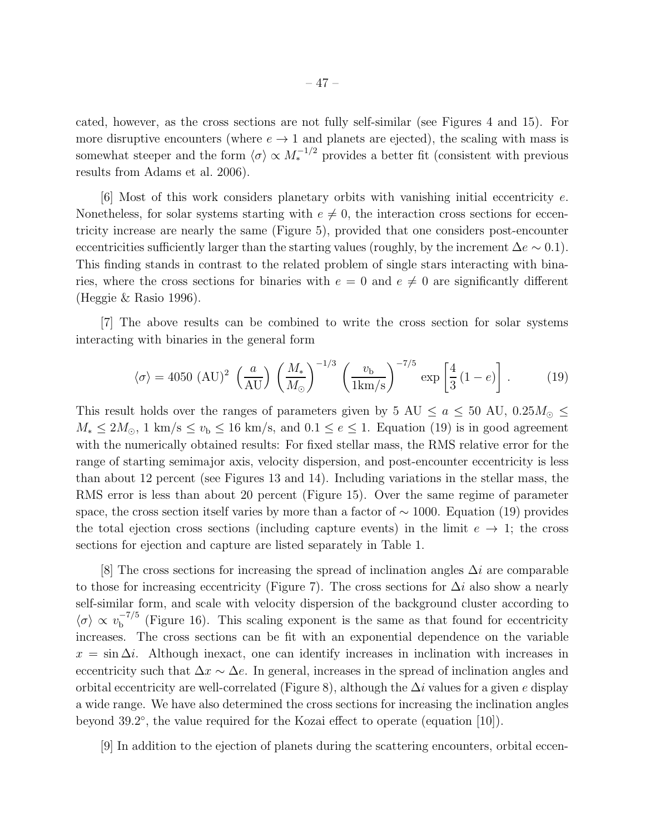cated, however, as the cross sections are not fully self-similar (see Figures 4 and 15). For more disruptive encounters (where  $e \rightarrow 1$  and planets are ejected), the scaling with mass is somewhat steeper and the form  $\langle \sigma \rangle \propto M_*^{-1/2}$  provides a better fit (consistent with previous results from Adams et al. 2006).

[6] Most of this work considers planetary orbits with vanishing initial eccentricity e. Nonetheless, for solar systems starting with  $e \neq 0$ , the interaction cross sections for eccentricity increase are nearly the same (Figure 5), provided that one considers post-encounter eccentricities sufficiently larger than the starting values (roughly, by the increment  $\Delta e \sim 0.1$ ). This finding stands in contrast to the related problem of single stars interacting with binaries, where the cross sections for binaries with  $e = 0$  and  $e \neq 0$  are significantly different (Heggie & Rasio 1996).

[7] The above results can be combined to write the cross section for solar systems interacting with binaries in the general form

$$
\langle \sigma \rangle = 4050 \text{ (AU)}^2 \left(\frac{a}{\text{AU}}\right) \left(\frac{M_*}{M_\odot}\right)^{-1/3} \left(\frac{v_\text{b}}{1 \text{km/s}}\right)^{-7/5} \exp\left[\frac{4}{3} (1 - e)\right]. \tag{19}
$$

This result holds over the ranges of parameters given by 5 AU  $\le a \le 50$  AU,  $0.25M_{\odot} \le$  $M_* \leq 2M_{\odot}$ , 1 km/s  $\leq v_{\rm b} \leq 16$  km/s, and  $0.1 \leq e \leq 1$ . Equation (19) is in good agreement with the numerically obtained results: For fixed stellar mass, the RMS relative error for the range of starting semimajor axis, velocity dispersion, and post-encounter eccentricity is less than about 12 percent (see Figures 13 and 14). Including variations in the stellar mass, the RMS error is less than about 20 percent (Figure 15). Over the same regime of parameter space, the cross section itself varies by more than a factor of  $\sim 1000$ . Equation (19) provides the total ejection cross sections (including capture events) in the limit  $e \rightarrow 1$ ; the cross sections for ejection and capture are listed separately in Table 1.

[8] The cross sections for increasing the spread of inclination angles  $\Delta i$  are comparable to those for increasing eccentricity (Figure 7). The cross sections for  $\Delta i$  also show a nearly self-similar form, and scale with velocity dispersion of the background cluster according to  $\langle \sigma \rangle \propto v_{\rm b}^{-7/5}$  $b<sup>-1/3</sup>$  (Figure 16). This scaling exponent is the same as that found for eccentricity increases. The cross sections can be fit with an exponential dependence on the variable  $x = \sin \Delta i$ . Although inexact, one can identify increases in inclination with increases in eccentricity such that  $\Delta x \sim \Delta e$ . In general, increases in the spread of inclination angles and orbital eccentricity are well-correlated (Figure 8), although the  $\Delta i$  values for a given e display a wide range. We have also determined the cross sections for increasing the inclination angles beyond 39.2°, the value required for the Kozai effect to operate (equation [10]).

[9] In addition to the ejection of planets during the scattering encounters, orbital eccen-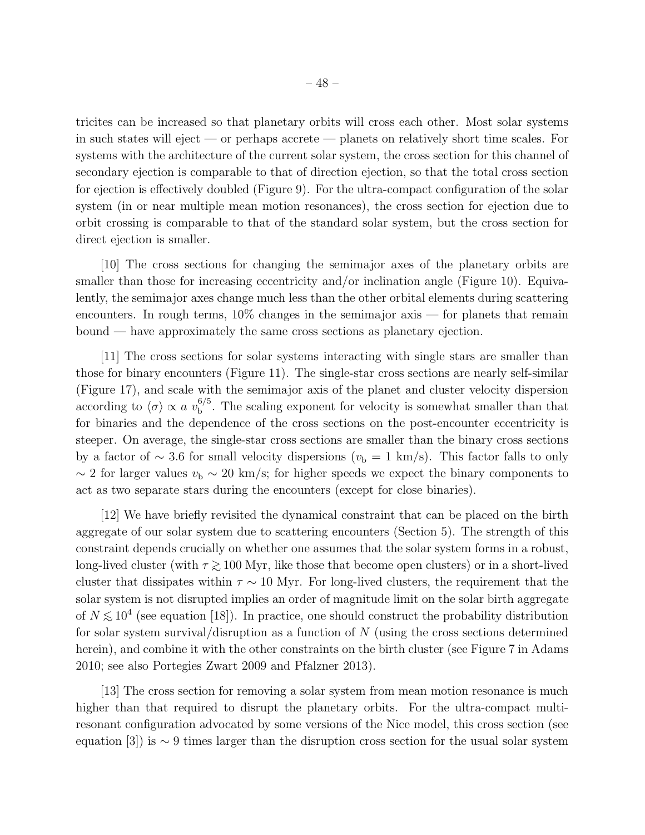tricites can be increased so that planetary orbits will cross each other. Most solar systems in such states will eject — or perhaps accrete — planets on relatively short time scales. For systems with the architecture of the current solar system, the cross section for this channel of secondary ejection is comparable to that of direction ejection, so that the total cross section for ejection is effectively doubled (Figure 9). For the ultra-compact configuration of the solar system (in or near multiple mean motion resonances), the cross section for ejection due to orbit crossing is comparable to that of the standard solar system, but the cross section for direct ejection is smaller.

[10] The cross sections for changing the semimajor axes of the planetary orbits are smaller than those for increasing eccentricity and/or inclination angle (Figure 10). Equivalently, the semimajor axes change much less than the other orbital elements during scattering encounters. In rough terms,  $10\%$  changes in the semimajor axis — for planets that remain bound — have approximately the same cross sections as planetary ejection.

[11] The cross sections for solar systems interacting with single stars are smaller than those for binary encounters (Figure 11). The single-star cross sections are nearly self-similar (Figure 17), and scale with the semimajor axis of the planet and cluster velocity dispersion according to  $\langle \sigma \rangle \propto a v_{\rm b}^{6/5}$  $b<sub>b</sub>$ <sup>0/3</sup>. The scaling exponent for velocity is somewhat smaller than that for binaries and the dependence of the cross sections on the post-encounter eccentricity is steeper. On average, the single-star cross sections are smaller than the binary cross sections by a factor of  $\sim 3.6$  for small velocity dispersions ( $v<sub>b</sub> = 1$  km/s). This factor falls to only  $\sim$  2 for larger values  $v_{\rm b} \sim 20$  km/s; for higher speeds we expect the binary components to act as two separate stars during the encounters (except for close binaries).

[12] We have briefly revisited the dynamical constraint that can be placed on the birth aggregate of our solar system due to scattering encounters (Section 5). The strength of this constraint depends crucially on whether one assumes that the solar system forms in a robust, long-lived cluster (with  $\tau \gtrsim 100$  Myr, like those that become open clusters) or in a short-lived cluster that dissipates within  $\tau \sim 10$  Myr. For long-lived clusters, the requirement that the solar system is not disrupted implies an order of magnitude limit on the solar birth aggregate of  $N \lesssim 10^4$  (see equation [18]). In practice, one should construct the probability distribution for solar system survival/disruption as a function of  $N$  (using the cross sections determined herein), and combine it with the other constraints on the birth cluster (see Figure 7 in Adams 2010; see also Portegies Zwart 2009 and Pfalzner 2013).

[13] The cross section for removing a solar system from mean motion resonance is much higher than that required to disrupt the planetary orbits. For the ultra-compact multiresonant configuration advocated by some versions of the Nice model, this cross section (see equation [3]) is  $\sim$  9 times larger than the disruption cross section for the usual solar system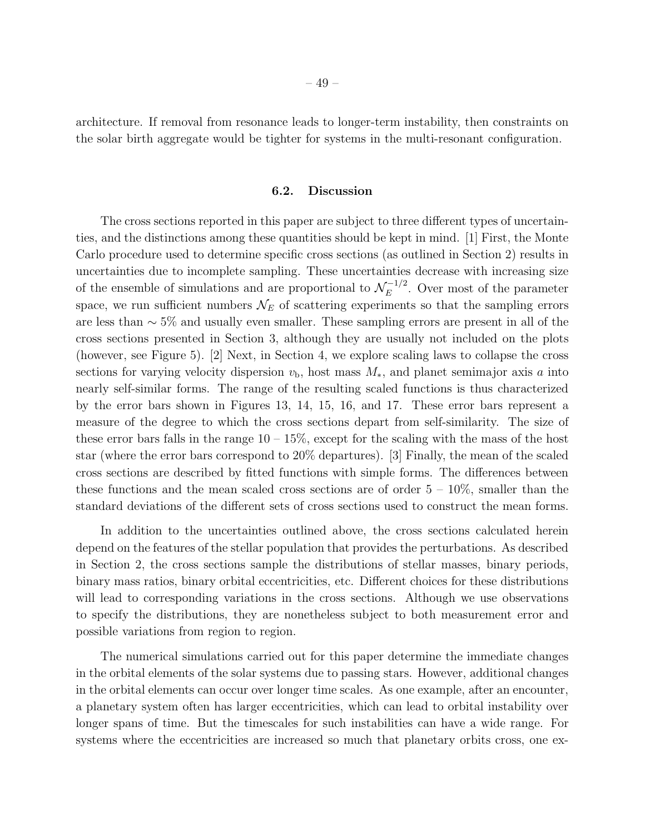architecture. If removal from resonance leads to longer-term instability, then constraints on the solar birth aggregate would be tighter for systems in the multi-resonant configuration.

## 6.2. Discussion

The cross sections reported in this paper are subject to three different types of uncertainties, and the distinctions among these quantities should be kept in mind. [1] First, the Monte Carlo procedure used to determine specific cross sections (as outlined in Section 2) results in uncertainties due to incomplete sampling. These uncertainties decrease with increasing size of the ensemble of simulations and are proportional to  $\mathcal{N}_E^{-1/2}$  $E^{-1/2}$ . Over most of the parameter space, we run sufficient numbers  $\mathcal{N}_E$  of scattering experiments so that the sampling errors are less than ∼ 5% and usually even smaller. These sampling errors are present in all of the cross sections presented in Section 3, although they are usually not included on the plots (however, see Figure 5). [2] Next, in Section 4, we explore scaling laws to collapse the cross sections for varying velocity dispersion  $v<sub>b</sub>$ , host mass  $M_*$ , and planet semimajor axis a into nearly self-similar forms. The range of the resulting scaled functions is thus characterized by the error bars shown in Figures 13, 14, 15, 16, and 17. These error bars represent a measure of the degree to which the cross sections depart from self-similarity. The size of these error bars falls in the range  $10 - 15\%$ , except for the scaling with the mass of the host star (where the error bars correspond to 20% departures). [3] Finally, the mean of the scaled cross sections are described by fitted functions with simple forms. The differences between these functions and the mean scaled cross sections are of order  $5 - 10\%$ , smaller than the standard deviations of the different sets of cross sections used to construct the mean forms.

In addition to the uncertainties outlined above, the cross sections calculated herein depend on the features of the stellar population that provides the perturbations. As described in Section 2, the cross sections sample the distributions of stellar masses, binary periods, binary mass ratios, binary orbital eccentricities, etc. Different choices for these distributions will lead to corresponding variations in the cross sections. Although we use observations to specify the distributions, they are nonetheless subject to both measurement error and possible variations from region to region.

The numerical simulations carried out for this paper determine the immediate changes in the orbital elements of the solar systems due to passing stars. However, additional changes in the orbital elements can occur over longer time scales. As one example, after an encounter, a planetary system often has larger eccentricities, which can lead to orbital instability over longer spans of time. But the timescales for such instabilities can have a wide range. For systems where the eccentricities are increased so much that planetary orbits cross, one ex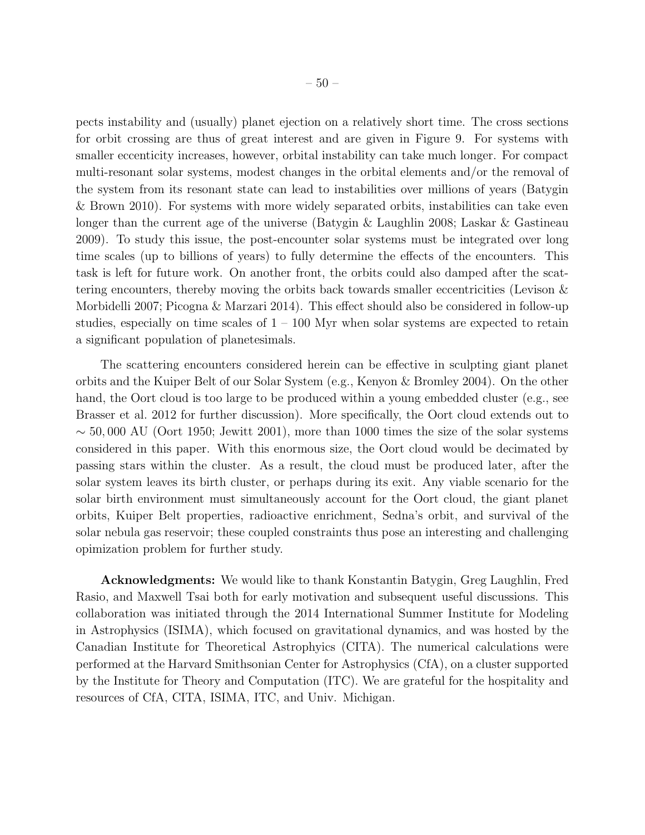pects instability and (usually) planet ejection on a relatively short time. The cross sections for orbit crossing are thus of great interest and are given in Figure 9. For systems with smaller eccenticity increases, however, orbital instability can take much longer. For compact multi-resonant solar systems, modest changes in the orbital elements and/or the removal of the system from its resonant state can lead to instabilities over millions of years (Batygin & Brown 2010). For systems with more widely separated orbits, instabilities can take even longer than the current age of the universe (Batygin & Laughlin 2008; Laskar & Gastineau 2009). To study this issue, the post-encounter solar systems must be integrated over long time scales (up to billions of years) to fully determine the effects of the encounters. This task is left for future work. On another front, the orbits could also damped after the scattering encounters, thereby moving the orbits back towards smaller eccentricities (Levison & Morbidelli 2007; Picogna & Marzari 2014). This effect should also be considered in follow-up studies, especially on time scales of  $1 - 100$  Myr when solar systems are expected to retain a significant population of planetesimals.

The scattering encounters considered herein can be effective in sculpting giant planet orbits and the Kuiper Belt of our Solar System (e.g., Kenyon & Bromley 2004). On the other hand, the Oort cloud is too large to be produced within a young embedded cluster (e.g., see Brasser et al. 2012 for further discussion). More specifically, the Oort cloud extends out to  $\sim$  50,000 AU (Oort 1950; Jewitt 2001), more than 1000 times the size of the solar systems considered in this paper. With this enormous size, the Oort cloud would be decimated by passing stars within the cluster. As a result, the cloud must be produced later, after the solar system leaves its birth cluster, or perhaps during its exit. Any viable scenario for the solar birth environment must simultaneously account for the Oort cloud, the giant planet orbits, Kuiper Belt properties, radioactive enrichment, Sedna's orbit, and survival of the solar nebula gas reservoir; these coupled constraints thus pose an interesting and challenging opimization problem for further study.

Acknowledgments: We would like to thank Konstantin Batygin, Greg Laughlin, Fred Rasio, and Maxwell Tsai both for early motivation and subsequent useful discussions. This collaboration was initiated through the 2014 International Summer Institute for Modeling in Astrophysics (ISIMA), which focused on gravitational dynamics, and was hosted by the Canadian Institute for Theoretical Astrophyics (CITA). The numerical calculations were performed at the Harvard Smithsonian Center for Astrophysics (CfA), on a cluster supported by the Institute for Theory and Computation (ITC). We are grateful for the hospitality and resources of CfA, CITA, ISIMA, ITC, and Univ. Michigan.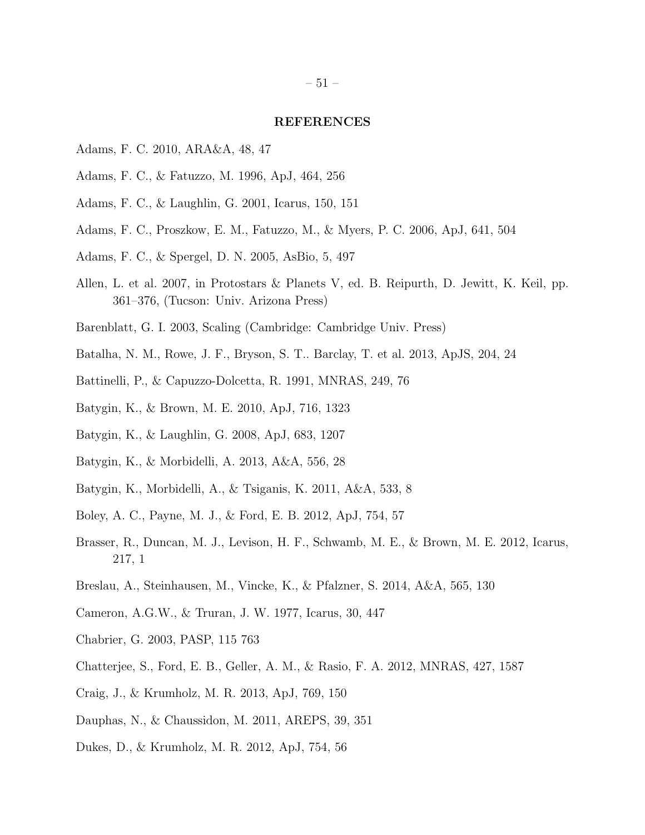#### REFERENCES

- Adams, F. C. 2010, ARA&A, 48, 47
- Adams, F. C., & Fatuzzo, M. 1996, ApJ, 464, 256
- Adams, F. C., & Laughlin, G. 2001, Icarus, 150, 151
- Adams, F. C., Proszkow, E. M., Fatuzzo, M., & Myers, P. C. 2006, ApJ, 641, 504
- Adams, F. C., & Spergel, D. N. 2005, AsBio, 5, 497
- Allen, L. et al. 2007, in Protostars & Planets V, ed. B. Reipurth, D. Jewitt, K. Keil, pp. 361–376, (Tucson: Univ. Arizona Press)
- Barenblatt, G. I. 2003, Scaling (Cambridge: Cambridge Univ. Press)
- Batalha, N. M., Rowe, J. F., Bryson, S. T.. Barclay, T. et al. 2013, ApJS, 204, 24
- Battinelli, P., & Capuzzo-Dolcetta, R. 1991, MNRAS, 249, 76
- Batygin, K., & Brown, M. E. 2010, ApJ, 716, 1323
- Batygin, K., & Laughlin, G. 2008, ApJ, 683, 1207
- Batygin, K., & Morbidelli, A. 2013, A&A, 556, 28
- Batygin, K., Morbidelli, A., & Tsiganis, K. 2011, A&A, 533, 8
- Boley, A. C., Payne, M. J., & Ford, E. B. 2012, ApJ, 754, 57
- Brasser, R., Duncan, M. J., Levison, H. F., Schwamb, M. E., & Brown, M. E. 2012, Icarus, 217, 1
- Breslau, A., Steinhausen, M., Vincke, K., & Pfalzner, S. 2014, A&A, 565, 130
- Cameron, A.G.W., & Truran, J. W. 1977, Icarus, 30, 447
- Chabrier, G. 2003, PASP, 115 763
- Chatterjee, S., Ford, E. B., Geller, A. M., & Rasio, F. A. 2012, MNRAS, 427, 1587
- Craig, J., & Krumholz, M. R. 2013, ApJ, 769, 150
- Dauphas, N., & Chaussidon, M. 2011, AREPS, 39, 351
- Dukes, D., & Krumholz, M. R. 2012, ApJ, 754, 56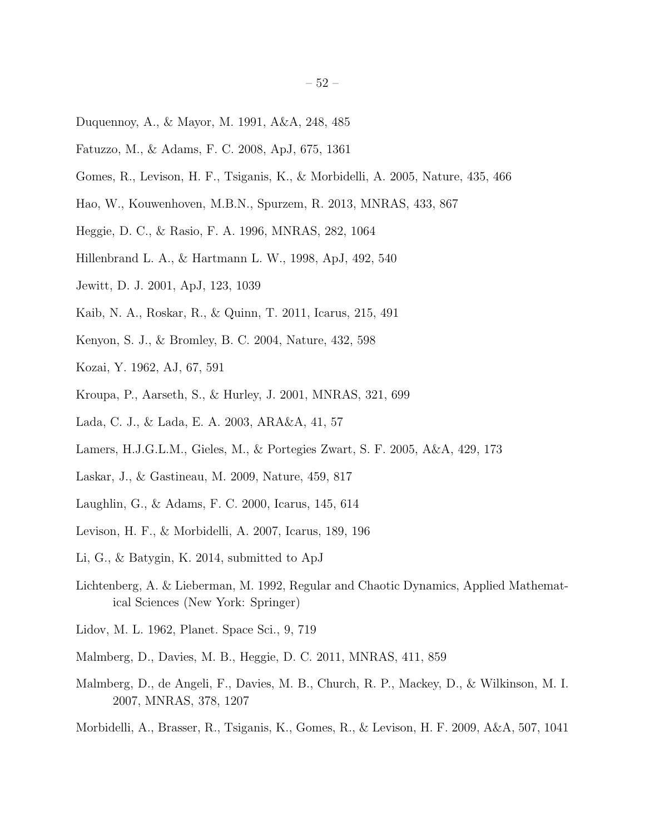- Duquennoy, A., & Mayor, M. 1991, A&A, 248, 485
- Fatuzzo, M., & Adams, F. C. 2008, ApJ, 675, 1361
- Gomes, R., Levison, H. F., Tsiganis, K., & Morbidelli, A. 2005, Nature, 435, 466
- Hao, W., Kouwenhoven, M.B.N., Spurzem, R. 2013, MNRAS, 433, 867
- Heggie, D. C., & Rasio, F. A. 1996, MNRAS, 282, 1064
- Hillenbrand L. A., & Hartmann L. W., 1998, ApJ, 492, 540
- Jewitt, D. J. 2001, ApJ, 123, 1039
- Kaib, N. A., Roskar, R., & Quinn, T. 2011, Icarus, 215, 491
- Kenyon, S. J., & Bromley, B. C. 2004, Nature, 432, 598
- Kozai, Y. 1962, AJ, 67, 591
- Kroupa, P., Aarseth, S., & Hurley, J. 2001, MNRAS, 321, 699
- Lada, C. J., & Lada, E. A. 2003, ARA&A, 41, 57
- Lamers, H.J.G.L.M., Gieles, M., & Portegies Zwart, S. F. 2005, A&A, 429, 173
- Laskar, J., & Gastineau, M. 2009, Nature, 459, 817
- Laughlin, G., & Adams, F. C. 2000, Icarus, 145, 614
- Levison, H. F., & Morbidelli, A. 2007, Icarus, 189, 196
- Li, G., & Batygin, K. 2014, submitted to ApJ
- Lichtenberg, A. & Lieberman, M. 1992, Regular and Chaotic Dynamics, Applied Mathematical Sciences (New York: Springer)
- Lidov, M. L. 1962, Planet. Space Sci., 9, 719
- Malmberg, D., Davies, M. B., Heggie, D. C. 2011, MNRAS, 411, 859
- Malmberg, D., de Angeli, F., Davies, M. B., Church, R. P., Mackey, D., & Wilkinson, M. I. 2007, MNRAS, 378, 1207
- Morbidelli, A., Brasser, R., Tsiganis, K., Gomes, R., & Levison, H. F. 2009, A&A, 507, 1041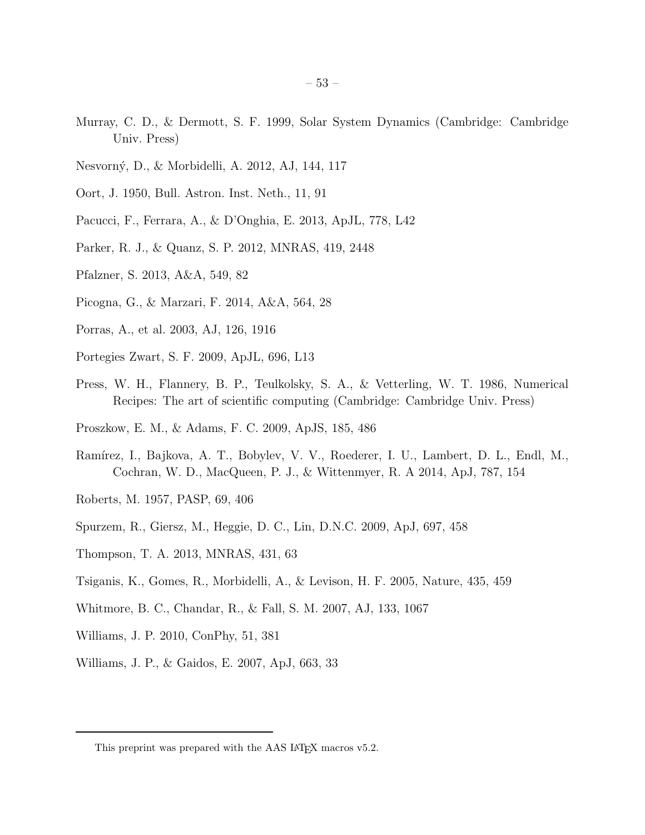- Murray, C. D., & Dermott, S. F. 1999, Solar System Dynamics (Cambridge: Cambridge Univ. Press)
- Nesvorn´y, D., & Morbidelli, A. 2012, AJ, 144, 117
- Oort, J. 1950, Bull. Astron. Inst. Neth., 11, 91
- Pacucci, F., Ferrara, A., & D'Onghia, E. 2013, ApJL, 778, L42
- Parker, R. J., & Quanz, S. P. 2012, MNRAS, 419, 2448
- Pfalzner, S. 2013, A&A, 549, 82
- Picogna, G., & Marzari, F. 2014, A&A, 564, 28
- Porras, A., et al. 2003, AJ, 126, 1916
- Portegies Zwart, S. F. 2009, ApJL, 696, L13
- Press, W. H., Flannery, B. P., Teulkolsky, S. A., & Vetterling, W. T. 1986, Numerical Recipes: The art of scientific computing (Cambridge: Cambridge Univ. Press)
- Proszkow, E. M., & Adams, F. C. 2009, ApJS, 185, 486
- Ramírez, I., Bajkova, A. T., Bobylev, V. V., Roederer, I. U., Lambert, D. L., Endl, M., Cochran, W. D., MacQueen, P. J., & Wittenmyer, R. A 2014, ApJ, 787, 154
- Roberts, M. 1957, PASP, 69, 406
- Spurzem, R., Giersz, M., Heggie, D. C., Lin, D.N.C. 2009, ApJ, 697, 458
- Thompson, T. A. 2013, MNRAS, 431, 63
- Tsiganis, K., Gomes, R., Morbidelli, A., & Levison, H. F. 2005, Nature, 435, 459
- Whitmore, B. C., Chandar, R., & Fall, S. M. 2007, AJ, 133, 1067
- Williams, J. P. 2010, ConPhy, 51, 381
- Williams, J. P., & Gaidos, E. 2007, ApJ, 663, 33

This preprint was prepared with the AAS IATEX macros v5.2.